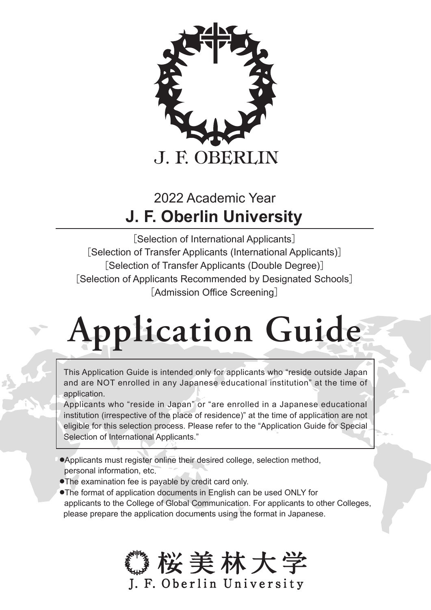

# **J. F. Oberlin University** 2022 Academic Year

[Selection of International Applicants] [Selection of Transfer Applicants (International Applicants)] [Selection of Transfer Applicants (Double Degree)] [Selection of Applicants Recommended by Designated Schools] [Admission Office Screening]

# **Application Guide**

This Application Guide is intended only for applicants who "reside outside Japan and are NOT enrolled in any Japanese educational institution" at the time of application.

Applicants who "reside in Japan" or "are enrolled in a Japanese educational institution (irrespective of the place of residence)" at the time of application are not eligible for this selection process. Please refer to the "Application Guide for Special Selection of International Applicants."

- ●Applicants must register online their desired college, selection method, personal information, etc.
- ●The examination fee is payable by credit card only.
- ●The format of application documents in English can be used ONLY for applicants to the College of Global Communication. For applicants to other Colleges, please prepare the application documents using the format in Japanese.

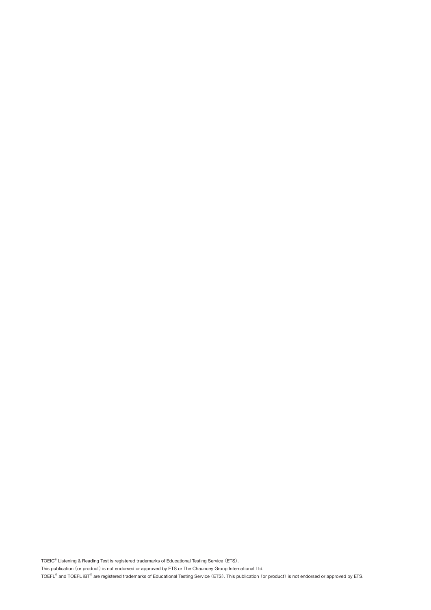TOEIC® Listening & Reading Test is registered trademarks of Educational Testing Service (ETS).

This publication (or product) is not endorsed or approved by ETS or The Chauncey Group International Ltd.

TOEFL® and TOEFL iBT® are registered trademarks of Educational Testing Service (ETS). This publication (or product) is not endorsed or approved by ETS.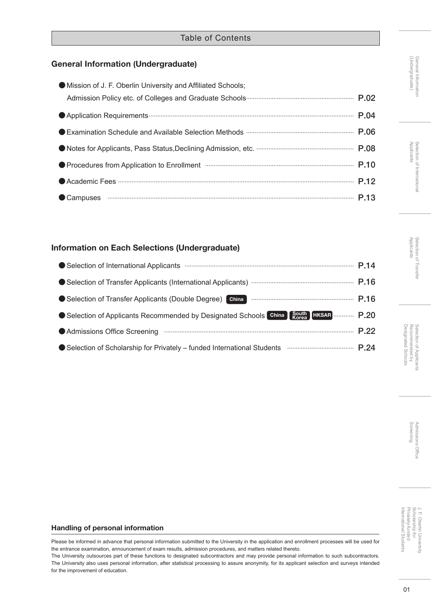| Mission of J. F. Oberlin University and Affiliated Schools;                      |  |
|----------------------------------------------------------------------------------|--|
|                                                                                  |  |
|                                                                                  |  |
| ● Examination Schedule and Available Selection Methods …………………………………………………… P.06 |  |
|                                                                                  |  |
|                                                                                  |  |
|                                                                                  |  |
| Campuses <b>ELA</b> P.13                                                         |  |

#### Information on Each Selections (Undergraduate)

| ● Selection of Transfer Applicants (Double Degree) China <b>Communical Contract P.16</b>         |  |
|--------------------------------------------------------------------------------------------------|--|
| ● Selection of Applicants Recommended by Designated Schools China Bouth HKSAR  P.20              |  |
|                                                                                                  |  |
| ● Selection of Scholarship for Privately - funded International Students <b>CONFINGTION</b> P.24 |  |

# General Information<br>(Undergraduate) (Andergraduate)

General Information

J. F. Oberlin University<br>Scholarship for<br>Privately-funded<br>International Students Privately-funded Scholarship for J. F. Oberlin University International Students

#### Handling of personal information

Please be informed in advance that personal information submitted to the University in the application and enrollment processes will be used for the entrance examination, announcement of exam results, admission procedures, and matters related thereto.

The University outsources part of these functions to designated subcontractors and may provide personal information to such subcontractors. The University also uses personal information, after statistical processing to assure anonymity, for its applicant selection and surveys intended for the improvement of education.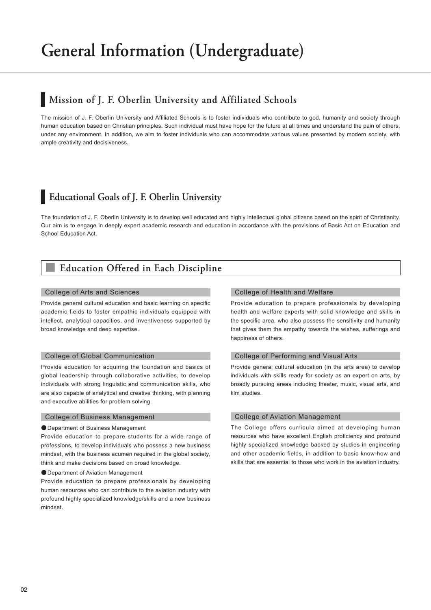### **Mission of J. F. Oberlin University and Affiliated Schools**

The mission of J. F. Oberlin University and Affiliated Schools is to foster individuals who contribute to god, humanity and society through human education based on Christian principles. Such individual must have hope for the future at all times and understand the pain of others, under any environment. In addition, we aim to foster individuals who can accommodate various values presented by modern society, with ample creativity and decisiveness.

### **Educational Goals of J. F. Oberlin University**

The foundation of J. F. Oberlin University is to develop well educated and highly intellectual global citizens based on the spirit of Christianity. Our aim is to engage in deeply expert academic research and education in accordance with the provisions of Basic Act on Education and School Education Act.

### **■ Education Offered in Each Discipline**

#### College of Arts and Sciences

Provide general cultural education and basic learning on specific academic fields to foster empathic individuals equipped with intellect, analytical capacities, and inventiveness supported by broad knowledge and deep expertise.

#### College of Global Communication

Provide education for acquiring the foundation and basics of global leadership through collaborative activities, to develop individuals with strong linguistic and communication skills, who are also capable of analytical and creative thinking, with planning and executive abilities for problem solving.

#### College of Business Management

#### ●Department of Business Management

Provide education to prepare students for a wide range of professions, to develop individuals who possess a new business mindset, with the business acumen required in the global society, think and make decisions based on broad knowledge.

● Department of Aviation Management

Provide education to prepare professionals by developing human resources who can contribute to the aviation industry with profound highly specialized knowledge/skills and a new business mindset.

#### College of Health and Welfare

Provide education to prepare professionals by developing health and welfare experts with solid knowledge and skills in the specific area, who also possess the sensitivity and humanity that gives them the empathy towards the wishes, sufferings and happiness of others.

#### College of Performing and Visual Arts

Provide general cultural education (in the arts area) to develop individuals with skills ready for society as an expert on arts, by broadly pursuing areas including theater, music, visual arts, and film studies.

#### College of Aviation Management

The College offers curricula aimed at developing human resources who have excellent English proficiency and profound highly specialized knowledge backed by studies in engineering and other academic fields, in addition to basic know-how and skills that are essential to those who work in the aviation industry.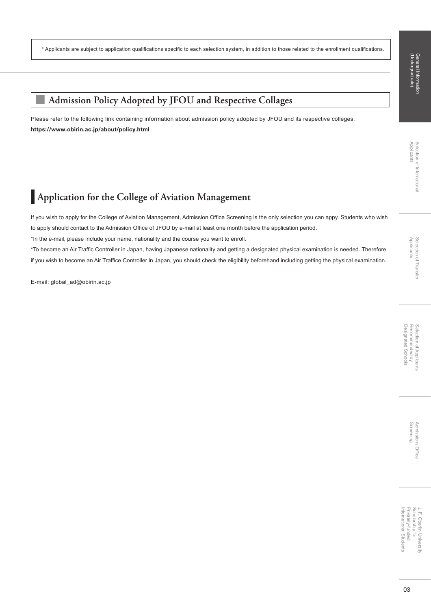Screening Admissions Office

SUOISSIUD

s Office

\* Applicants are subject to application qualifications specific to each selection system, in addition to those related to the enrollment qualifications.

### **■ Admission Policy Adopted by JFOU and Respective Collages**

Please refer to the following link containing information about admission policy adopted by JFOU and its respective colleges. https://www.obirin.ac.jp/about/policy.html

### **Application for the College of Aviation Management**

If you wish to apply for the College of Aviation Management, Admission Office Screening is the only selection you can appy. Students who wish to apply should contact to the Admission Office of JFOU by e-mail at least one month before the application period.

\*In the e-mail, please include your name, nationality and the course you want to enroll.

\*To become an Air Traffic Controller in Japan, having Japanese nationality and getting a designated physical examination is needed. Therefore, if you wish to become an Air Traffice Controller in Japan, you should check the eligibility beforehand including getting the physical examination.

E-mail: global\_ad@obirin.ac.jp

International Students Privately-funded Privately-funded J. F. Oberlin University<br>Scholarship for Scholarship for J. F. Oberlin University

International Students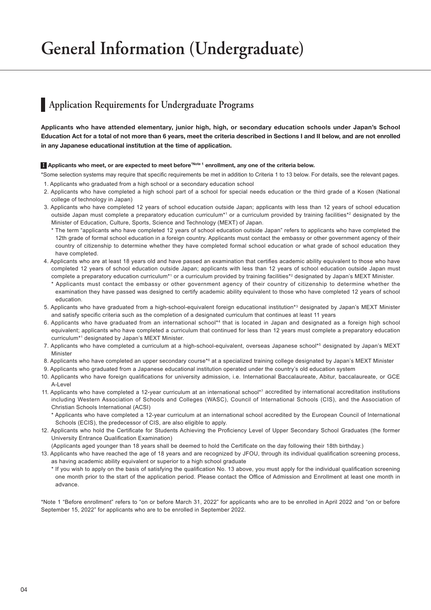### **Application Requirements for Undergraduate Programs**

Applicants who have attended elementary, junior high, high, or secondary education schools under Japan's School Education Act for a total of not more than 6 years, meet the criteria described in Sections I and II below, and are not enrolled in any Japanese educational institution at the time of application.

#### **I** Applicants who meet, or are expected to meet before<sup>\*Note 1</sup> enrollment, any one of the criteria below.

- \*Some selection systems may require that specific requirements be met in addition to Criteria 1 to 13 below. For details, see the relevant pages. 1. Applicants who graduated from a high school or a secondary education school
- 2. Applicants who have completed a high school part of a school for special needs education or the third grade of a Kosen (National college of technology in Japan)
- 3. Applicants who have completed 12 years of school education outside Japan; applicants with less than 12 years of school education outside Japan must complete a preparatory education curriculum\*1 or a curriculum provided by training facilities\*<sup>2</sup> designated by the Minister of Education, Culture, Sports, Science and Technology (MEXT) of Japan.
	- \* The term "applicants who have completed 12 years of school education outside Japan" refers to applicants who have completed the 12th grade of formal school education in a foreign country. Applicants must contact the embassy or other government agency of their country of citizenship to determine whether they have completed formal school education or what grade of school education they have completed.
- 4. Applicants who are at least 18 years old and have passed an examination that certifies academic ability equivalent to those who have completed 12 years of school education outside Japan; applicants with less than 12 years of school education outside Japan must complete a preparatory education curriculum<sup>\*1</sup> or a curriculum provided by training facilities<sup>\*2</sup> designated by Japan's MEXT Minister.
	- Applicants must contact the embassy or other government agency of their country of citizenship to determine whether the examination they have passed was designed to certify academic ability equivalent to those who have completed 12 years of school education.
- 5. Applicants who have graduated from a high-school-equivalent foreign educational institution\*3 designated by Japan's MEXT Minister and satisfy specific criteria such as the completion of a designated curriculum that continues at least 11 years
- 6. Applicants who have graduated from an international school\*<sup>4</sup> that is located in Japan and designated as a foreign high school equivalent; applicants who have completed a curriculum that continued for less than 12 years must complete a preparatory education curriculum\*1 designated by Japan's MEXT Minister.
- 7. Applicants who have completed a curriculum at a high-school-equivalent, overseas Japanese school\*<sup>5</sup> designated by Japan's MEXT Minister
- 8. Applicants who have completed an upper secondary course\*6 at a specialized training college designated by Japan's MEXT Minister
- 9. Applicants who graduated from a Japanese educational institution operated under the country's old education system
- 10. Applicants who have foreign qualifications for university admission, i.e. International Baccalaureate, Abitur, baccalaureate, or GCE A-Level
- 11. Applicants who have completed a 12-year curriculum at an international school\*7 accredited by international accreditation institutions including Western Association of Schools and Colleges (WASC), Council of International Schools (CIS), and the Association of Christian Schools International (ACSI)
	- \* Applicants who have completed a 12-year curriculum at an international school accredited by the European Council of International Schools (ECIS), the predecessor of CIS, are also eligible to apply.
- 12. Applicants who hold the Certificate for Students Achieving the Proficiency Level of Upper Secondary School Graduates (the former University Entrance Qualification Examination)
- (Applicants aged younger than 18 years shall be deemed to hold the Certificate on the day following their 18th birthday.)
- 13. Applicants who have reached the age of 18 years and are recognized by JFOU, through its individual qualification screening process, as having academic ability equivalent or superior to a high school graduate
	- \* If you wish to apply on the basis of satisfying the qualification No. 13 above, you must apply for the individual qualification screening one month prior to the start of the application period. Please contact the Office of Admission and Enrollment at least one month in advance.

\*Note 1 "Before enrollment" refers to "on or before March 31, 2022" for applicants who are to be enrolled in April 2022 and "on or before September 15, 2022" for applicants who are to be enrolled in September 2022.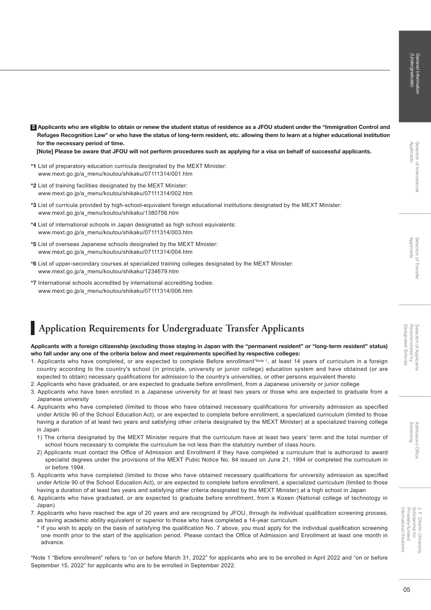Ⅱ Applicants who are eligible to obtain or renew the student status of residence as a JFOU student under the "Immigration Control and Refugee Recognition Law" or who have the status of long-term resident, etc. allowing them to learn at a higher educational institution for the necessary period of time.

[Note] Please be aware that JFOU will not perform procedures such as applying for a visa on behalf of successful applicants.

- \*1 List of preparatory education curricula designated by the MEXT Minister: www.mext.go.jp/a\_menu/koutou/shikaku/07111314/001.htm
- \*2 List of training facilities designated by the MEXT Minister: www.mext.go.jp/a\_menu/koutou/shikaku/07111314/002.htm
- \*3 List of curricula provided by high-school-equivalent foreign educational institutions designated by the MEXT Minister: www.mext.go.jp/a\_menu/koutou/shikaku/1380756.htm
- \*4 List of international schools in Japan designated as high school equivalents: www.mext.go.jp/a\_menu/koutou/shikaku/07111314/003.htm
- \*5 List of overseas Japanese schools designated by the MEXT Minister: www.mext.go.jp/a\_menu/koutou/shikaku/07111314/004.htm
- \*6 List of upper-secondary courses at specialized training colleges designated by the MEXT Minister: www.mext.go.jp/a\_menu/koutou/shikaku/1234679.htm
- \*7 International schools accredited by international accrediting bodies: www.mext.go.jp/a\_menu/koutou/shikaku/07111314/006.htm

### **Application Requirements for Undergraduate Transfer Applicants**

#### Applicants with a foreign citizenship (excluding those staying in Japan with the "permanent resident" or "long-term resident" status) who fall under any one of the criteria below and meet requirements specified by respective colleges:

- 1. Applicants who have completed, or are expected to complete Before enrollment\*Note 1, at least 14 years of curriculum in a foreign country according to the country's school (in principle, university or junior college) education system and have obtained (or are expected to obtain) necessary qualifications for admission to the country's universities, or other persons equivalent thereto
- 2. Applicants who have graduated, or are expected to graduate before enrollment, from a Japanese university or junior college
- 3. Applicants who have been enrolled in a Japanese university for at least two years or those who are expected to graduate from a Japanese university
- 4. Applicants who have completed (limited to those who have obtained necessary qualifications for university admission as specified under Article 90 of the School Education Act), or are expected to complete before enrollment, a specialized curriculum (limited to those having a duration of at least two years and satisfying other criteria designated by the MEXT Minister) at a specialized training college in Japan
	- 1) The criteria designated by the MEXT Minister require that the curriculum have at least two years' term and the total number of school hours necessary to complete the curriculum be not less than the statutory number of class hours.
	- 2) Applicants must contact the Office of Admission and Enrollment if they have completed a curriculum that is authorized to award specialist degrees under the provisions of the MEXT Pubic Notice No. 84 issued on June 21, 1994 or completed the curriculum in or before 1994.
- 5. Applicants who have completed (limited to those who have obtained necessary qualifications for university admission as specified under Article 90 of the School Education Act), or are expected to complete before enrollment, a specialized curriculum (limited to those having a duration of at least two years and satisfying other criteria designated by the MEXT Minister) at a high school in Japan
- 6. Applicants who have graduated, or are expected to graduate before enrollment, from a Kosen (National college of technology in Japan)
- 7. Applicants who have reached the age of 20 years and are recognized by JFOU, through its individual qualification screening process, as having academic ability equivalent or superior to those who have completed a 14-year curriculum
	- \* If you wish to apply on the basis of satisfying the qualification No. 7 above, you must apply for the individual qualification screening one month prior to the start of the application period. Please contact the Office of Admission and Enrollment at least one month in advance.

\*Note 1 "Before enrollment" refers to "on or before March 31, 2022" for applicants who are to be enrolled in April 2022 and "on or before September 15, 2022" for applicants who are to be enrolled in September 2022.

05

International Students Privately-funded Scholarship for J. F. Oberlin University

J. F. Oberlin University<br>Scholarship for Privately-funded International Students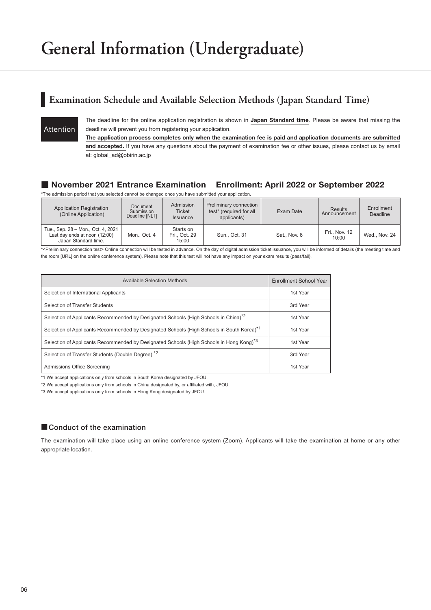### **Examination Schedule and Available Selection Methods (Japan Standard Time)**

Attention

The deadline for the online application registration is shown in Japan Standard time. Please be aware that missing the deadline will prevent you from registering your application.

The application process completes only when the examination fee is paid and application documents are submitted and accepted. If you have any questions about the payment of examination fee or other issues, please contact us by email at: global\_ad@obirin.ac.jp

#### ■ November 2021 Entrance Examination Enrollment: April 2022 or September 2022

\*The admission period that you selected cannot be changed once you have submitted your application.

| <b>Application Registration</b><br>(Online Application)                                     | Admission<br>Document<br>Submission<br><b>Ticket</b><br>Deadline [NLT]<br><b>Issuance</b> |                                     | Preliminary connection<br>test* (required for all<br>applicants) | Exam Date    | <b>Results</b><br>Announcement | Enrollment<br><b>Deadline</b> |
|---------------------------------------------------------------------------------------------|-------------------------------------------------------------------------------------------|-------------------------------------|------------------------------------------------------------------|--------------|--------------------------------|-------------------------------|
| Tue., Sep. 28 - Mon., Oct. 4, 2021<br>Last day ends at noon (12:00)<br>Japan Standard time. | Mon., Oct. 4                                                                              | Starts on<br>Fri., Oct. 29<br>15:00 | Sun., Oct. 31                                                    | Sat., Nov. 6 | Fri., Nov. 12<br>10:00         | Wed., Nov. 24                 |

\*<Preliminary connection test> Online connection will be tested in advance. On the day of digital admission ticket issuance, you will be informed of details (the meeting time and the room [URL] on the online conference system). Please note that this test will not have any impact on your exam results (pass/fail).

| Available Selection Methods                                                                           | Enrollment School Year |
|-------------------------------------------------------------------------------------------------------|------------------------|
| Selection of International Applicants                                                                 | 1st Year               |
| <b>Selection of Transfer Students</b>                                                                 | 3rd Year               |
| Selection of Applicants Recommended by Designated Schools (High Schools in China) <sup>*2</sup>       | 1st Year               |
| Selection of Applicants Recommended by Designated Schools (High Schools in South Korea) <sup>*1</sup> | 1st Year               |
| Selection of Applicants Recommended by Designated Schools (High Schools in Hong Kong) <sup>*3</sup>   | 1st Year               |
| Selection of Transfer Students (Double Degree) <sup>*2</sup>                                          | 3rd Year               |
| Admissions Office Screening                                                                           | 1st Year               |

\*1 We accept applications only from schools in South Korea designated by JFOU.

\*2 We accept applications only from schools in China designated by, or affiliated with, JFOU.

\*3 We accept applications only from schools in Hong Kong designated by JFOU.

#### ■ Conduct of the examination

The examination will take place using an online conference system (Zoom). Applicants will take the examination at home or any other appropriate location.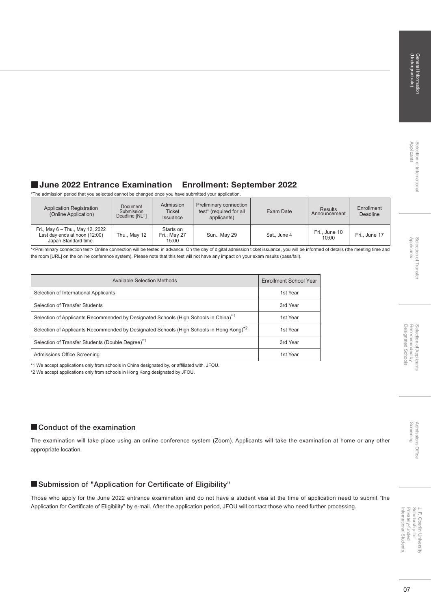### Selection of Transfer<br>Applicants Applicants Selection of Transfer

J. F. Oberlin University<br>Scholarship for<br>Privately-funded International Students Privately-funded Scholarship for J. F. Oberlin University International Students

### ■ June 2022 Entrance Examination Enrollment: September 2022

\*The admission period that you selected cannot be changed once you have submitted your application.

| <b>Application Registration</b><br>(Online Application)                                   | Admission<br>Document<br>Submission<br><b>Ticket</b><br>Deadline [NLT]<br><b>Issuance</b> |                                    | Preliminary connection<br>test* (required for all<br>applicants) | Exam Date    | <b>Results</b><br>Announcement | Enrollment<br><b>Deadline</b> |
|-------------------------------------------------------------------------------------------|-------------------------------------------------------------------------------------------|------------------------------------|------------------------------------------------------------------|--------------|--------------------------------|-------------------------------|
| Fri., May 6 - Thu., May 12, 2022<br>Last day ends at noon (12:00)<br>Japan Standard time. | Thu., May 12                                                                              | Starts on<br>Fri., May 27<br>15:00 | Sun., May 29                                                     | Sat., June 4 | Fri., June 10<br>10:00         | Fri., June 17                 |

\*<Preliminary connection test> Online connection will be tested in advance. On the day of digital admission ticket issuance, you will be informed of details (the meeting time and the room [URL] on the online conference system). Please note that this test will not have any impact on your exam results (pass/fail).

| Available Selection Methods                                                                         | Enrollment School Year |
|-----------------------------------------------------------------------------------------------------|------------------------|
| Selection of International Applicants                                                               | 1st Year               |
| Selection of Transfer Students                                                                      | 3rd Year               |
| Selection of Applicants Recommended by Designated Schools (High Schools in China) <sup>*1</sup>     | 1st Year               |
| Selection of Applicants Recommended by Designated Schools (High Schools in Hong Kong) <sup>*2</sup> | 1st Year               |
| Selection of Transfer Students (Double Degree) <sup>*1</sup>                                        | 3rd Year               |
| Admissions Office Screening                                                                         | 1st Year               |

\*1 We accept applications only from schools in China designated by, or affiliated with, JFOU.

\*2 We accept applications only from schools in Hong Kong designated by JFOU.

#### ■ Conduct of the examination

The examination will take place using an online conference system (Zoom). Applicants will take the examination at home or any other appropriate location.

#### ■Submission of "Application for Certificate of Eligibility"

Those who apply for the June 2022 entrance examination and do not have a student visa at the time of application need to submit "the Application for Certificate of Eligibility" by e-mail. After the application period, JFOU will contact those who need further processing.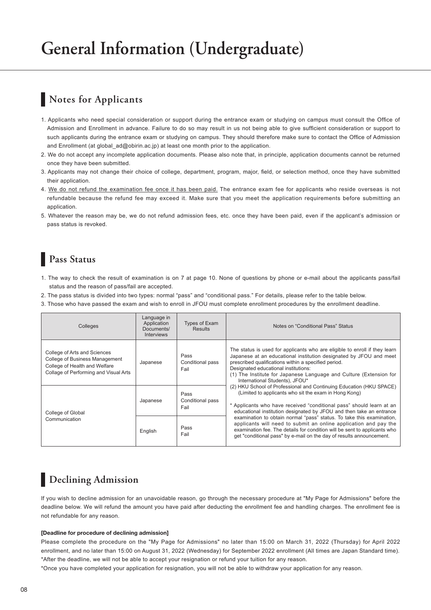### **Notes for Applicants**

- 1. Applicants who need special consideration or support during the entrance exam or studying on campus must consult the Office of Admission and Enrollment in advance. Failure to do so may result in us not being able to give sufficient consideration or support to such applicants during the entrance exam or studying on campus. They should therefore make sure to contact the Office of Admission and Enrollment (at global\_ad@obirin.ac.jp) at least one month prior to the application.
- 2. We do not accept any incomplete application documents. Please also note that, in principle, application documents cannot be returned once they have been submitted.
- 3. Applicants may not change their choice of college, department, program, major, field, or selection method, once they have submitted their application.
- 4. We do not refund the examination fee once it has been paid. The entrance exam fee for applicants who reside overseas is not refundable because the refund fee may exceed it. Make sure that you meet the application requirements before submitting an application.
- 5. Whatever the reason may be, we do not refund admission fees, etc. once they have been paid, even if the applicant's admission or pass status is revoked.

### **Pass Status**

- 1. The way to check the result of examination is on 7 at page 10. None of questions by phone or e-mail about the applicants pass/fail status and the reason of pass/fail are accepted.
- 2. The pass status is divided into two types: normal "pass" and "conditional pass." For details, please refer to the table below.
- 3. Those who have passed the exam and wish to enroll in JFOU must complete enrollment procedures by the enrollment deadline.

| Colleges                                                                                                                                 | Language in<br>Application<br>Documents/<br><b>Interviews</b> | Types of Exam<br><b>Results</b>  | Notes on "Conditional Pass" Status                                                                                                                                                                                                                                                                                                                       |
|------------------------------------------------------------------------------------------------------------------------------------------|---------------------------------------------------------------|----------------------------------|----------------------------------------------------------------------------------------------------------------------------------------------------------------------------------------------------------------------------------------------------------------------------------------------------------------------------------------------------------|
| College of Arts and Sciences<br>College of Business Management<br>College of Health and Welfare<br>Collage of Performing and Visual Arts | Japanese                                                      | Pass<br>Conditional pass<br>Fail | The status is used for applicants who are eligible to enroll if they learn<br>Japanese at an educational institution designated by JFOU and meet<br>prescribed qualifications within a specified period.<br>Designated educational institutions:<br>(1) The Institute for Japanese Language and Culture (Extension for<br>International Students), JFOU* |
| College of Global                                                                                                                        | Japanese                                                      | Pass<br>Conditional pass<br>Fail | (2) HKU School of Professional and Continuing Education (HKU SPACE)<br>(Limited to applicants who sit the exam in Hong Kong)<br>* Applicants who have received "conditional pass" should learn at an<br>educational institution designated by JFOU and then take an entrance                                                                             |
| Communication                                                                                                                            | English                                                       | Pass<br>Fail                     | examination to obtain normal "pass" status. To take this examination,<br>applicants will need to submit an online application and pay the<br>examination fee. The details for condition will be sent to applicants who<br>get "conditional pass" by e-mail on the day of results announcement.                                                           |

### **Declining Admission**

If you wish to decline admission for an unavoidable reason, go through the necessary procedure at "My Page for Admissions" before the deadline below. We will refund the amount you have paid after deducting the enrollment fee and handling charges. The enrollment fee is not refundable for any reason.

#### [Deadline for procedure of declining admission]

Please complete the procedure on the "My Page for Admissions" no later than 15:00 on March 31, 2022 (Thursday) for April 2022 enrollment, and no later than 15:00 on August 31, 2022 (Wednesday) for September 2022 enrollment (All times are Japan Standard time). \*After the deadline, we will not be able to accept your resignation or refund your tuition for any reason.

\*Once you have completed your application for resignation, you will not be able to withdraw your application for any reason.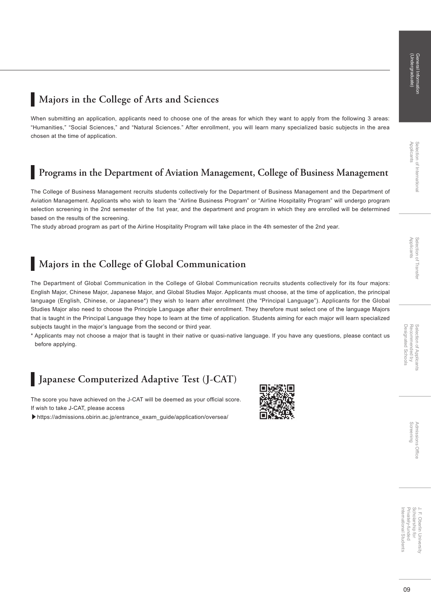### **Majors in the College of Arts and Sciences**

When submitting an application, applicants need to choose one of the areas for which they want to apply from the following 3 areas: "Humanities," "Social Sciences," and "Natural Sciences." After enrollment, you will learn many specialized basic subjects in the area chosen at the time of application.

### **Programs in the Department of Aviation Management, College of Business Management**

The College of Business Management recruits students collectively for the Department of Business Management and the Department of Aviation Management. Applicants who wish to learn the "Airline Business Program" or "Airline Hospitality Program" will undergo program selection screening in the 2nd semester of the 1st year, and the department and program in which they are enrolled will be determined based on the results of the screening.

The study abroad program as part of the Airline Hospitality Program will take place in the 4th semester of the 2nd year.

### **Majors in the College of Global Communication**

The Department of Global Communication in the College of Global Communication recruits students collectively for its four majors: English Major, Chinese Major, Japanese Major, and Global Studies Major. Applicants must choose, at the time of application, the principal language (English, Chinese, or Japanese\*) they wish to learn after enrollment (the "Principal Language"). Applicants for the Global Studies Major also need to choose the Principle Language after their enrollment. They therefore must select one of the language Majors that is taught in the Principal Language they hope to learn at the time of application. Students aiming for each major will learn specialized subjects taught in the major's language from the second or third year.

\* Applicants may not choose a major that is taught in their native or quasi-native language. If you have any questions, please contact us before applying.

### **Japanese Computerized Adaptive Test (J-CAT)**

The score you have achieved on the J-CAT will be deemed as your official score. If wish to take J-CAT, please access

▶https://admissions.obirin.ac.jp/entrance\_exam\_guide/application/oversea/



Screening

Privately-funded J. F. Oberlin Universit<br>Scholarship for Scholarship for J. F. Oberlin University International Student International Students Privately-funded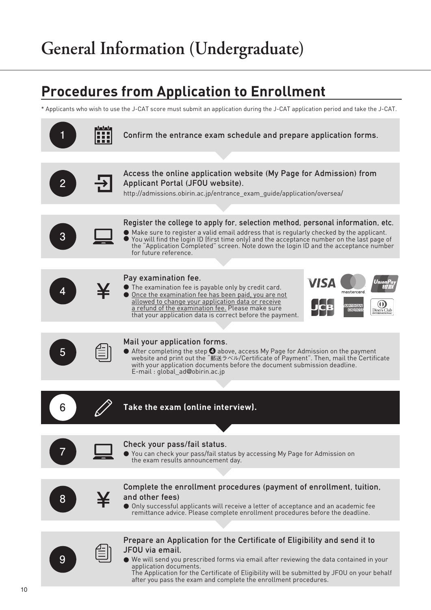# **Procedures from Application to Enrollment**

\* Applicants who wish to use the J-CAT score must submit an application during the J-CAT application period and take the J-CAT.

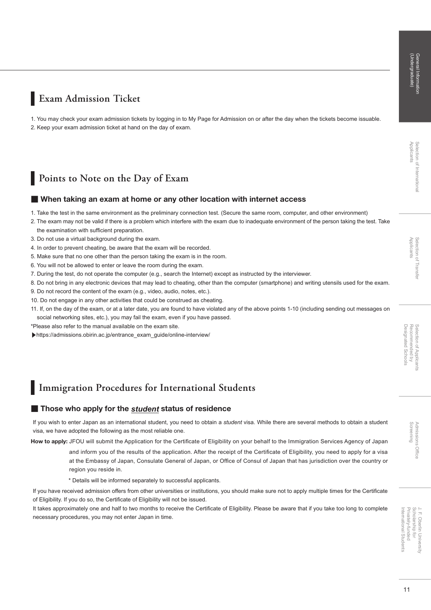Screening Admissions Office

**AUDISSIDE** 

**Office** 

### **Exam Admission Ticket**

1. You may check your exam admission tickets by logging in to My Page for Admission on or after the day when the tickets become issuable. 2. Keep your exam admission ticket at hand on the day of exam.

### **Points to Note on the Day of Exam**

#### ■ When taking an exam at home or any other location with internet access

- 1. Take the test in the same environment as the preliminary connection test. (Secure the same room, computer, and other environment)
- 2. The exam may not be valid if there is a problem which interfere with the exam due to inadequate environment of the person taking the test. Take the examination with sufficient preparation.
- 3. Do not use a virtual background during the exam.
- 4. In order to prevent cheating, be aware that the exam will be recorded.
- 5. Make sure that no one other than the person taking the exam is in the room.
- 6. You will not be allowed to enter or leave the room during the exam.
- 7. During the test, do not operate the computer (e.g., search the Internet) except as instructed by the interviewer.
- 8. Do not bring in any electronic devices that may lead to cheating, other than the computer (smartphone) and writing utensils used for the exam.
- 9. Do not record the content of the exam (e.g., video, audio, notes, etc.).
- 10. Do not engage in any other activities that could be construed as cheating.
- 11. If, on the day of the exam, or at a later date, you are found to have violated any of the above points 1-10 (including sending out messages on social networking sites, etc.), you may fail the exam, even if you have passed.
- \*Please also refer to the manual available on the exam site.
- ▶https://admissions.obirin.ac.jp/entrance\_exam\_guide/online-interview/

### **Immigration Procedures for International Students**

#### ■ Those who apply for the *student* status of residence

If you wish to enter Japan as an international student, you need to obtain a *student* visa. While there are several methods to obtain a student visa, we have adopted the following as the most reliable one.

How to apply: JFOU will submit the Application for the Certificate of Eligibility on your behalf to the Immigration Services Agency of Japan

and inform you of the results of the application. After the receipt of the Certificate of Eligibility, you need to apply for a visa at the Embassy of Japan, Consulate General of Japan, or Office of Consul of Japan that has jurisdiction over the country or region you reside in.

\* Details will be informed separately to successful applicants.

If you have received admission offers from other universities or institutions, you should make sure not to apply multiple times for the Certificate of Eligibility. If you do so, the Certificate of Eligibility will not be issued.

It takes approximately one and half to two months to receive the Certificate of Eligibility. Please be aware that if you take too long to complete necessary procedures, you may not enter Japan in time.

International Students Privately-funded Scholarship for J. F. Oberlin University

J. F. Oberlin Universit<br>Scholarship for Privately-funded International Student: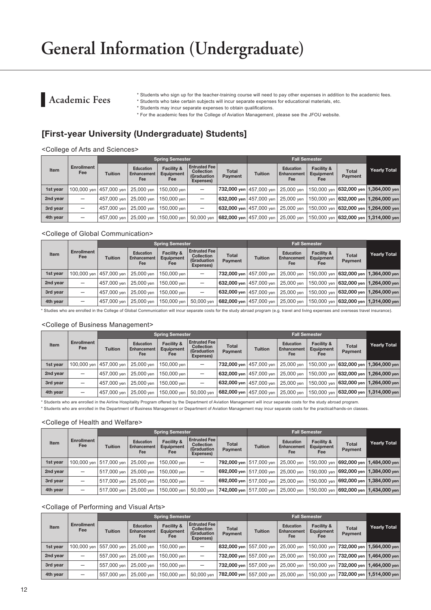### **Academic Fees**

\* Students who sign up for the teacher-training course will need to pay other expenses in addition to the academic fees.

\* Students who take certain subjects will incur separate expenses for educational materials, etc. \* Students may incur separate expenses to obtain qualifications.

\* For the academic fees for the College of Aviation Management, please see the JFOU website.

### [First-year University (Undergraduate) Students]

<College of Arts and Sciences>

|             | <b>Enrollment</b><br>Fee |                           |                                               | <b>Spring Semester</b>         |                                                                              |                         |                           |                                               |                                |                         |                                                                     |
|-------------|--------------------------|---------------------------|-----------------------------------------------|--------------------------------|------------------------------------------------------------------------------|-------------------------|---------------------------|-----------------------------------------------|--------------------------------|-------------------------|---------------------------------------------------------------------|
| <b>Item</b> |                          | <b>Tuition</b>            | <b>Education</b><br><b>Enhancement</b><br>Fee | Facility &<br>Equipment<br>Fee | <b>Entrusted Fee</b><br><b>Collection</b><br><b>(Graduation</b><br>Expenses) | <b>Total</b><br>Payment | <b>Tuition</b>            | <b>Education</b><br><b>Enhancement</b><br>Fee | Facility &<br>Equipment<br>Fee | <b>Total</b><br>Payment | <b>Yearly Total</b>                                                 |
| 1st year    |                          | 100.000 ven   457.000 ven | 25.000 ven                                    | 150,000 ven                    | $\overline{\phantom{m}}$                                                     |                         | 732.000 ven   457.000 ven | 25.000 ven 1                                  |                                |                         | 150,000 yen <b>  632,000 yen   1,364,000 yen</b>                    |
| 2nd year    | –                        | 457,000 ven               | 25,000 ven                                    | 150.000 ven l                  | $\overline{\phantom{0}}$                                                     |                         | 632.000 ven 457.000 ven   | 25.000 ven                                    |                                |                         | l 150.000 ven l <b>632.000 ven l 1.264.000 ven</b> l                |
| 3rd year    | -                        | 457,000 ven               | 25,000 ven                                    | 150.000 ven l                  |                                                                              | 632,000 yen 457,000 yen |                           | 25.000 ven                                    |                                |                         | 150,000 yen <b>632,000 yen 1,264,000 yen</b> l                      |
| 4th year    | -                        | 457,000 ven               | 25,000 ven                                    | 150,000 ven                    | 50,000 ven                                                                   | 682,000 yen 457,000 yen |                           | 25,000 ven                                    |                                |                         | $ 150,000\rangle$ yen $ 632,000\rangle$ yen $ 1,314,000\rangle$ yen |

#### <College of Global Communication>

|             |                          |                           |                                               | <b>Spring Semester</b>         |                                                                       |                         | <b>Fall Semester</b>      |                                               |                                           |                         |                                           |
|-------------|--------------------------|---------------------------|-----------------------------------------------|--------------------------------|-----------------------------------------------------------------------|-------------------------|---------------------------|-----------------------------------------------|-------------------------------------------|-------------------------|-------------------------------------------|
| <b>Item</b> | <b>Enrollment</b><br>Fee | <b>Tuition</b>            | <b>Education</b><br><b>Enhancement</b><br>Fee | Facility &<br>Equipment<br>Fee | <b>Entrusted Fee</b><br><b>Collection</b><br>(Graduation<br>Expenses) | <b>Total</b><br>Payment | <b>Tuition</b>            | <b>Education</b><br><b>Enhancement</b><br>Fee | <b>Facility &amp;</b><br>Equipment<br>Fee | <b>Total</b><br>Payment | Yearly Total                              |
| 1st year    |                          | 100.000 ven   457.000 ven | 25,000 ven                                    | 150,000 ven                    | -                                                                     |                         | 732,000 yen   457.000 yen | 25,000 ven                                    | 150,000 ven                               |                         | 632,000 yen 1,364,000 yen                 |
| 2nd year    |                          | 457,000 ven               | 25,000 ven                                    | 150,000 ven                    | $\overline{\phantom{0}}$                                              |                         | 632,000 yen   457,000 yen | 25,000 ven                                    | 150,000 ven                               |                         | 632,000 yen 1,264,000 yen                 |
| 3rd year    | —                        | 457,000 ven               | 25,000 ven                                    | 150,000 ven                    | $\overline{\phantom{0}}$                                              |                         | 632,000 yen   457,000 yen | 25,000 ven                                    |                                           |                         | 150.000 ven   632,000 yen   1,264,000 yen |
| 4th year    | -                        | 457,000 ven               | 25,000 yen                                    | 150,000 yen                    | 50.000 ven                                                            |                         | 682,000 yen   457,000 yen | 25,000 yen                                    |                                           |                         | 150.000 ven   632,000 yen   1,314,000 yen |

\* Studies who are enrolled in the College of Global Communication will incur separate costs for the study abroad program (e.g. travel and living expenses and overseas travel insurance).

#### <College of Business Management>

|          |                          |                           |                                               | <b>Spring Semester</b>         |                                                                              |                           |                           |                                        |                                                  |                         |                                           |
|----------|--------------------------|---------------------------|-----------------------------------------------|--------------------------------|------------------------------------------------------------------------------|---------------------------|---------------------------|----------------------------------------|--------------------------------------------------|-------------------------|-------------------------------------------|
| Item     | <b>Enrollment</b><br>Fee | <b>Tuition</b>            | <b>Education</b><br><b>Enhancement</b><br>Fee | Facility &<br>Equipment<br>Fee | <b>Entrusted Fee</b><br><b>Collection</b><br><b>(Graduation</b><br>Expenses) | <b>Total</b><br>Payment   | <b>Tuition</b>            | <b>Education</b><br>Enhancement<br>Fee | <b>Facility &amp;</b><br>Equipment<br><b>Fee</b> | <b>Total</b><br>Payment | <b>Yearly Total</b>                       |
| 1st year |                          | 100,000 ven   457,000 ven | 25,000 ven                                    | 150,000 ven                    | -                                                                            |                           | 732,000 yen   457,000 yen | 25,000 ven                             |                                                  |                         | 150,000 yen   632,000 yen   1,364,000 yen |
| 2nd year |                          | 457,000 ven               | 25,000 ven                                    | 150,000 ven                    | -                                                                            |                           | 632,000 yen   457,000 yen | 25,000 ven                             |                                                  |                         | 150,000 ven   632,000 yen   1,264,000 yen |
| 3rd year |                          | 457,000 ven               | 25,000 ven                                    | 150,000 ven                    |                                                                              |                           | 632,000 yen   457,000 yen | 25,000 ven                             |                                                  |                         | 150,000 ven   632,000 yen   1,264,000 yen |
| 4th year | -                        | 457,000 ven               | 25,000 ven                                    | 150,000 ven                    | 50,000 ven                                                                   | 682,000 yen   457,000 yen |                           | 25,000 ven                             |                                                  |                         | 150,000 ven   632,000 yen   1,314,000 yen |

\* Students who are enrolled in the Airline Hospitality Program offered by the Department of Aviation Management will incur separate costs for the study abroad program.

\* Students who are enrolled in the Department of Business Management or Department of Aviation Management may incur separate costs for the practical/hands-on classes.

#### <College of Health and Welfare>

|             |                          |                           |                                        | <b>Spring Semester</b>         |                                                                       |                           |                           |                                               |                                           |                         |                                           |
|-------------|--------------------------|---------------------------|----------------------------------------|--------------------------------|-----------------------------------------------------------------------|---------------------------|---------------------------|-----------------------------------------------|-------------------------------------------|-------------------------|-------------------------------------------|
| <b>Item</b> | <b>Enrollment</b><br>Fee | <b>Tuition</b>            | <b>Education</b><br>Enhancement<br>Fee | Facility &<br>Equipment<br>Fee | <b>Entrusted Fee</b><br><b>Collection</b><br>(Graduation<br>Expenses) | <b>Total</b><br>Payment   | <b>Tuition</b>            | <b>Education</b><br><b>Enhancement</b><br>Fee | <b>Facility &amp;</b><br>Equipment<br>Fee | <b>Total</b><br>Payment | <b>Yearly Total</b>                       |
| 1st year    |                          | 100.000 ven   517.000 ven | 25,000 ven                             | 150,000 ven                    |                                                                       |                           | 792.000 ven   517.000 ven | 25,000 ven                                    |                                           |                         | 150,000 yen   692,000 yen   1,484,000 yen |
| 2nd year    | -                        | 517,000 ven               | 25,000 ven                             | 150,000 ven                    |                                                                       | 692,000 ven 517.000 ven   |                           | 25,000 ven                                    |                                           |                         | 150,000 yen   692,000 yen   1,384,000 yen |
| 3rd year    | -                        | 517,000 ven               | 25,000 ven                             | 150,000 ven                    | $\overline{\phantom{0}}$                                              | 692,000 ven 517,000 ven   |                           | 25,000 ven                                    |                                           |                         | 150,000 yen   692,000 yen   1,384,000 yen |
| 4th year    | —                        | 517.000 ven l             | 25,000 ven                             | 150,000 ven                    | 50.000 ven                                                            | 742.000 ven   517.000 ven |                           | 25,000 ven                                    |                                           |                         | 150,000 yen   692,000 yen   1,434,000 yen |

#### <Collage of Performing and Visual Arts>

|             | <b>Enrollment</b><br>Fee        |                           |                                        | <b>Spring Semester</b>                |                                                                              | <b>Fall Semester</b>           |                           |                                        |                                                  |                         |                                           |
|-------------|---------------------------------|---------------------------|----------------------------------------|---------------------------------------|------------------------------------------------------------------------------|--------------------------------|---------------------------|----------------------------------------|--------------------------------------------------|-------------------------|-------------------------------------------|
| <b>Item</b> |                                 | <b>Tuition</b>            | <b>Education</b><br>Enhancement<br>Fee | Facility &<br><b>Equipment</b><br>Fee | <b>Entrusted Fee</b><br><b>Collection</b><br><b>(Graduation</b><br>Expenses) | <b>Total</b><br><b>Payment</b> | <b>Tuition</b>            | <b>Education</b><br>Enhancement<br>Fee | <b>Facility &amp;</b><br>Equipment<br><b>Fee</b> | <b>Total</b><br>Payment | <b>Yearly Total</b>                       |
| 1st year    |                                 | 100,000 yen   557,000 yen | 25,000 ven                             | 150,000 ven                           |                                                                              |                                | 832,000 yen   557.000 yen | 25.000 ven                             |                                                  |                         | 150.000 ven 732,000 yen 1,564,000 yen     |
| 2nd year    |                                 | 557,000 ven               | 25,000 ven                             | 150,000 ven                           | $\overline{\phantom{0}}$                                                     |                                | 732,000 yen   557.000 yen | 25,000 ven                             |                                                  |                         | 150,000 ven   732,000 yen   1,464,000 yen |
| 3rd year    |                                 | 557,000 yen               | 25,000 yen                             | 150,000 ven                           | $\overline{\phantom{0}}$                                                     |                                | 732,000 yen   557,000 yen | 25.000 ven                             |                                                  |                         | 150,000 yen   732,000 yen   1,464,000 yen |
| 4th year    | $\qquad \qquad - \qquad \qquad$ | 557,000 ven               | 25,000 yen                             | 150,000 yen                           | 50.000 ven                                                                   |                                | 782,000 yen   557.000 yen | 25,000 yen                             |                                                  |                         | 150,000 yen   732,000 yen   1,514,000 yen |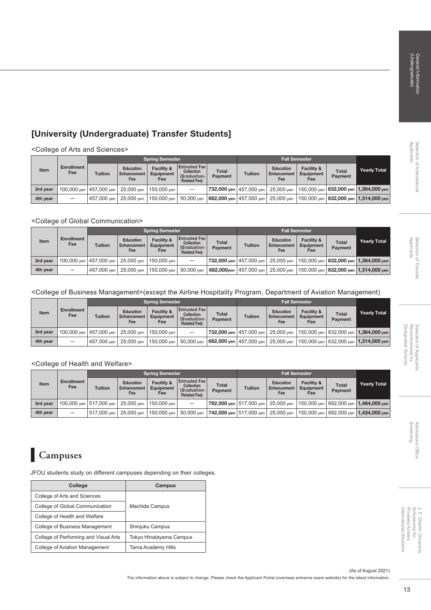# Admissions Office<br>Screening Admissions Office

### J. F. Oberlin University<br>Scholarship for<br>Privately-funded<br>International Students Privately-funded Scholarship for J. F. Oberlin University International Students

### [University (Undergraduate) Transfer Students]

<College of Arts and Sciences>

|          |                          | Spring Semester           |                                        |                                |                                                                                  |                                        | <b>Fall Semester</b>      |                                        |                                           |                         |                                                        |
|----------|--------------------------|---------------------------|----------------------------------------|--------------------------------|----------------------------------------------------------------------------------|----------------------------------------|---------------------------|----------------------------------------|-------------------------------------------|-------------------------|--------------------------------------------------------|
| Item     | <b>Enrollment</b><br>Fee | <b>Tuition</b>            | <b>Education</b><br>Enhancement<br>Fee | Facility &<br>Equipment<br>Fee | <b>Entrusted Fee</b><br><b>Collection</b><br>(Graduation-<br><b>Related Feel</b> | <b>Total</b><br><b>Payment</b>         | <b>Tuition</b>            | <b>Education</b><br>Enhancement<br>Fee | <b>Facility &amp;</b><br>Equipment<br>Fee | Total<br><b>Payment</b> | <b>Yearly Total</b>                                    |
| 3rd year |                          | 100,000 yen   457,000 yen | 25,000 ven                             | 150.000 ven                    | $\overline{\phantom{0}}$                                                         |                                        | 732,000 yen   457,000 yen |                                        |                                           |                         | 25,000 yen   150,000 yen   632,000 yen   1,364,000 yen |
| 4th year | $\overline{\phantom{m}}$ | 457,000 ven               | 25,000 ven                             | 150,000 ven                    |                                                                                  | 50,000 yen   682,000 yen   457,000 yen |                           |                                        |                                           |                         | 25,000 yen   150,000 yen   632,000 yen   1,314,000 yen |

#### <College of Global Communication>

|          |                          | <b>Spring Semester</b>    |                                        |                                                  |                                                                                  |                                  | Fall Semester            |                                        |                                           |                                |                                                  |
|----------|--------------------------|---------------------------|----------------------------------------|--------------------------------------------------|----------------------------------------------------------------------------------|----------------------------------|--------------------------|----------------------------------------|-------------------------------------------|--------------------------------|--------------------------------------------------|
| Item     | <b>Enrollment</b><br>Fee | <b>Tuition</b>            | <b>Education</b><br>Enhancement<br>Fee | <b>Facility &amp;</b><br><b>Equipment</b><br>Fee | <b>Entrusted Fee</b><br><b>Collection</b><br>(Graduation-<br><b>Related Feel</b> | <b>Total</b><br><b>Payment</b>   | <b>Tuition</b>           | <b>Education</b><br>Enhancement<br>Fee | <b>Facility &amp;</b><br>Equipment<br>Fee | <b>Total</b><br><b>Payment</b> | Yearly Total                                     |
| 3rd vear |                          | 100,000 yen   457,000 yen | 25.000 ven                             | 150,000 ven                                      | $\overline{\phantom{0}}$                                                         | <b>732,000 yen</b>   457,000 yen |                          | 25,000 ven                             |                                           |                                | 150,000 yen   632,000 yen   1,364,000 yen        |
| 4th year | $\overline{\phantom{m}}$ | 457,000 ven               | 25.000 ven                             | 150,000 yen                                      | 50,000 ven                                                                       |                                  | 682,000yen   457,000 yen | 25,000 ven                             |                                           |                                | 150,000 yen   <b>632,000 yen   1,314,000 yen</b> |

#### <College of Business Management>(except the Airline Hospitality Program, Department of Aviation Management)

|          |                          | <b>Spring Semester</b> |                                        |                                |                                                                                  |                                | <b>Fall Semester</b> |                                               |                                           |                                |                                                                                          |
|----------|--------------------------|------------------------|----------------------------------------|--------------------------------|----------------------------------------------------------------------------------|--------------------------------|----------------------|-----------------------------------------------|-------------------------------------------|--------------------------------|------------------------------------------------------------------------------------------|
| Item     | <b>Enrollment</b><br>Fee | <b>Tuition</b>         | <b>Education</b><br>Enhancement<br>Fee | Facility &<br>Equipment<br>Fee | <b>Entrusted Fee</b><br><b>Collection</b><br>(Graduation-<br><b>Related Feel</b> | <b>Total</b><br><b>Payment</b> | <b>Tuition</b>       | <b>Education</b><br><b>Enhancement</b><br>Fee | <b>Facility &amp;</b><br>Equipment<br>Fee | <b>Total</b><br><b>Payment</b> | <b>Yearly Total</b>                                                                      |
| 3rd year |                          |                        | 100,000 yen   457,000 yen   25,000 yen | 150.000 ven                    |                                                                                  |                                |                      |                                               |                                           |                                | 732,000 yen   457,000 yen   25,000 yen   150,000 yen   632,000 yen   1,364,000 yen       |
| 4th year | $\qquad \qquad$          |                        | 457,000 yen   25,000 yen               | 150,000 yen                    | 50,000 ven                                                                       |                                |                      |                                               |                                           |                                | <b>682,000 yen</b> 457,000 yen 25,000 yen 150,000 yen 632,000 yen 1 <b>1,314,000 yen</b> |

#### <College of Health and Welfare>

|          |                          | <b>Spring Semester</b>                 |                                        |                                                  |                                                                                  |                                | <b>Fall Semester</b> |                                        |                                           |                                |                                                                                                 |
|----------|--------------------------|----------------------------------------|----------------------------------------|--------------------------------------------------|----------------------------------------------------------------------------------|--------------------------------|----------------------|----------------------------------------|-------------------------------------------|--------------------------------|-------------------------------------------------------------------------------------------------|
| Item     | <b>Enrollment</b><br>Fee | <b>Tuition</b>                         | <b>Education</b><br>Enhancement<br>Fee | <b>Facility &amp;</b><br><b>Equipment</b><br>Fee | <b>Entrusted Fee</b><br><b>Collection</b><br>(Graduation-<br><b>Related Feel</b> | <b>Total</b><br><b>Payment</b> | <b>Tuition</b>       | <b>Education</b><br>Enhancement<br>Fee | <b>Facility &amp;</b><br>Equipment<br>Fee | <b>Total</b><br><b>Payment</b> | <b>Yearly Total</b>                                                                             |
| 3rd year |                          | 100,000 yen   517,000 yen   25,000 yen |                                        | 150.000 ven                                      | $\overline{\phantom{m}}$                                                         |                                |                      |                                        |                                           |                                | <b>792,000 yen</b> 517,000 yen   25,000 yen   150,000 yen   692,000 yen   <b>1,484,000 yen</b>  |
| 4th year | $\overline{\phantom{m}}$ | 517,000 ven                            | 25.000 ven                             | 150,000 yen                                      |                                                                                  |                                |                      |                                        |                                           |                                | 50,000 yen   742,000 yen   517,000 yen   25,000 yen   150,000 yen   692,000 yen   1,434,000 yen |

#### Ш **Campuses**

JFOU students study on different campuses depending on their colleges.

| <b>College</b>                        | Campus                  |
|---------------------------------------|-------------------------|
| College of Arts and Sciences          |                         |
| College of Global Communication       | Machida Campus          |
| College of Health and Welfare         |                         |
| College of Business Management        | Shinjuku Campus         |
| Collage of Performing and Visual Arts | Tokyo Hinatayama Campus |
| College of Aviation Management        | Tama Academy Hills      |

(As of August 2021)

The information above is subject to change. Please check the Applicant Portal (overseas entrance exam website) for the latest information.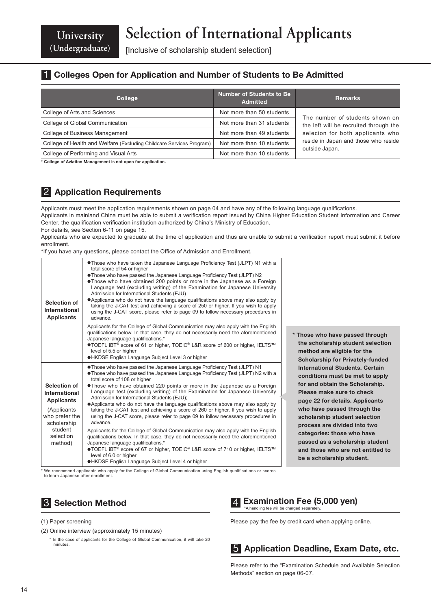**University (Undergraduate)**

[Inclusive of scholarship student selection]

### **1 Colleges Open for Application and Number of Students to Be Admitted**

| <b>College</b>                                                       | <b>Number of Students to Be</b><br><b>Admitted</b> | <b>Remarks</b>                                         |  |  |
|----------------------------------------------------------------------|----------------------------------------------------|--------------------------------------------------------|--|--|
| College of Arts and Sciences                                         | Not more than 50 students                          | The number of students shown on                        |  |  |
| College of Global Communication                                      | Not more than 31 students                          | the left will be recruited through the                 |  |  |
| College of Business Management                                       | Not more than 49 students                          | selecion for both applicants who                       |  |  |
| College of Health and Welfare (Excluding Childcare Services Program) | Not more than 10 students                          | reside in Japan and those who reside<br>outside Japan. |  |  |
| College of Performing and Visual Arts                                | Not more than 10 students                          |                                                        |  |  |

\* College of Aviation Management is not open for application.

### 2 Application Requirements

Applicants must meet the application requirements shown on page 04 and have any of the following language qualifications.

Applicants in mainland China must be able to submit a verification report issued by China Higher Education Student Information and Career Center, the qualification verification institution authorized by China's Ministry of Education.

For details, see Section 6-11 on page 15.

Applicants who are expected to graduate at the time of application and thus are unable to submit a verification report must submit it before enrollment.

\*If you have any questions, please contact the Office of Admission and Enrollment.

| Selection of<br>International<br><b>Applicants</b>                                                                                     | • Those who have taken the Japanese Language Proficiency Test (JLPT) N1 with a<br>total score of 54 or higher<br>. Those who have passed the Japanese Language Proficiency Test (JLPT) N2<br>. Those who have obtained 200 points or more in the Japanese as a Foreign<br>Language test (excluding writing) of the Examination for Japanese University<br>Admission for International Students (EJU)<br>• Applicants who do not have the language qualifications above may also apply by<br>taking the J-CAT test and achieving a score of 250 or higher. If you wish to apply<br>using the J-CAT score, please refer to page 09 to follow necessary procedures in<br>advance.<br>Applicants for the College of Global Communication may also apply with the English<br>qualifications below. In that case, they do not necessarily need the aforementioned<br>Japanese language qualifications.*<br>●TOEFL iBT® score of 61 or higher, TOEIC® L&R score of 600 or higher, IELTS™<br>level of 5.5 or higher<br>●HKDSE English Language Subject Level 3 or higher    |
|----------------------------------------------------------------------------------------------------------------------------------------|---------------------------------------------------------------------------------------------------------------------------------------------------------------------------------------------------------------------------------------------------------------------------------------------------------------------------------------------------------------------------------------------------------------------------------------------------------------------------------------------------------------------------------------------------------------------------------------------------------------------------------------------------------------------------------------------------------------------------------------------------------------------------------------------------------------------------------------------------------------------------------------------------------------------------------------------------------------------------------------------------------------------------------------------------------------------|
| Selection of<br>International<br><b>Applicants</b><br>(Applicants)<br>who prefer the<br>scholarship<br>student<br>selection<br>method) | • Those who have passed the Japanese Language Proficiency Test (JLPT) N1<br>• Those who have passed the Japanese Language Proficiency Test (JLPT) N2 with a<br>total score of 108 or higher<br>. Those who have obtained 220 points or more in the Japanese as a Foreign<br>Language test (excluding writing) of the Examination for Japanese University<br>Admission for International Students (EJU);<br>• Applicants who do not have the language qualifications above may also apply by<br>taking the J-CAT test and achieving a score of 260 or higher. If you wish to apply<br>using the J-CAT score, please refer to page 09 to follow necessary procedures in<br>advance.<br>Applicants for the College of Global Communication may also apply with the English<br>qualifications below. In that case, they do not necessarily need the aforementioned<br>Japanese language qualifications.*<br>●TOEFL iBT® score of 67 or higher, TOEIC® L&R score of 710 or higher, IELTS™<br>level of 6.0 or higher<br>●HKDSE English Language Subject Level 4 or higher |

method are eligible for the Scholarship for Privately-funded International Students. Certain conditions must be met to apply for and obtain the Scholarship. Please make sure to check page 22 for details. Applicants who have passed through the scholarship student selection process are divided into two categories: those who have passed as a scholarship student and those who are not entitled to be a scholarship student.

\* Those who have passed through the scholarship student selection

\* We recommend applicants who apply for the College of Global Communication using English qualifications or scores to learn Japanese after enrollment.

### **3** Selection Method

#### (1) Paper screening

(2) Online interview (approximately 15 minutes)

\* In the case of applicants for the College of Global Communication, it will take 20 minutes.

## 4 Examination Fee (5,000 yen)<br>A handling fee will be charged separately.

Please pay the fee by credit card when applying online.

### **5** Application Deadline, Exam Date, etc.

Please refer to the "Examination Schedule and Available Selection Methods" section on page 06-07.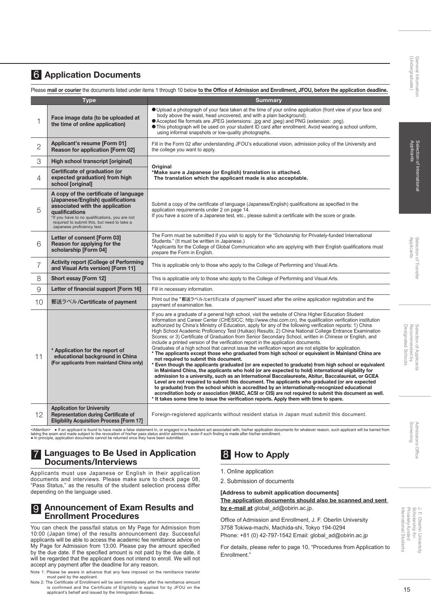### Screening Admissions Office SUOISSIUD ;Office

#### J. F. Oberlin University<br>Scholarship for<br>Privately-funded International Student Privately-funded Scholarship for J. F. Oberlin University International Students

### 6 Application Documents

Please mail or courier the documents listed under items 1 through 10 below to the Office of Admission and Enrollment, JFOU, before the application deadline.

| Type |                                                                                                                                                                                                                                                                       | <b>Summary</b>                                                                                                                                                                                                                                                                                                                                                                                                                                                                                                                                                                                                                                                                                                                                                                                                                                                                                                                                                                                                                                                                                                                                                                                                                                                                                                                                                                                                                                                                                                                                                                                                              |  |  |  |  |
|------|-----------------------------------------------------------------------------------------------------------------------------------------------------------------------------------------------------------------------------------------------------------------------|-----------------------------------------------------------------------------------------------------------------------------------------------------------------------------------------------------------------------------------------------------------------------------------------------------------------------------------------------------------------------------------------------------------------------------------------------------------------------------------------------------------------------------------------------------------------------------------------------------------------------------------------------------------------------------------------------------------------------------------------------------------------------------------------------------------------------------------------------------------------------------------------------------------------------------------------------------------------------------------------------------------------------------------------------------------------------------------------------------------------------------------------------------------------------------------------------------------------------------------------------------------------------------------------------------------------------------------------------------------------------------------------------------------------------------------------------------------------------------------------------------------------------------------------------------------------------------------------------------------------------------|--|--|--|--|
| 1    | Face image data (to be uploaded at<br>the time of online application)                                                                                                                                                                                                 | O Upload a photograph of your face taken at the time of your online application (front view of your face and<br>body above the waist, head uncovered, and with a plain background).<br>● Accepted file formats are JPEG (extensions: .jpg and .jpeg) and PNG (extension: .png).<br><b>This photograph will be used on your student ID card after enrollment. Avoid wearing a school uniform,</b><br>using informal snapshots or low-quality photographs.                                                                                                                                                                                                                                                                                                                                                                                                                                                                                                                                                                                                                                                                                                                                                                                                                                                                                                                                                                                                                                                                                                                                                                    |  |  |  |  |
| 2    | Applicant's resume [Form 01]<br><b>Reason for application [Form 02]</b>                                                                                                                                                                                               | Fill in the Form 02 after understanding JFOU's educational vision, admission policy of the University and<br>the college you want to apply.                                                                                                                                                                                                                                                                                                                                                                                                                                                                                                                                                                                                                                                                                                                                                                                                                                                                                                                                                                                                                                                                                                                                                                                                                                                                                                                                                                                                                                                                                 |  |  |  |  |
| 3    | High school transcript [original]                                                                                                                                                                                                                                     |                                                                                                                                                                                                                                                                                                                                                                                                                                                                                                                                                                                                                                                                                                                                                                                                                                                                                                                                                                                                                                                                                                                                                                                                                                                                                                                                                                                                                                                                                                                                                                                                                             |  |  |  |  |
| 4    | Certificate of graduation (or<br>expected graduation) from high<br>school [original]                                                                                                                                                                                  | Original<br>*Make sure a Japanese (or English) translation is attached.<br>The translation which the applicant made is also acceptable.                                                                                                                                                                                                                                                                                                                                                                                                                                                                                                                                                                                                                                                                                                                                                                                                                                                                                                                                                                                                                                                                                                                                                                                                                                                                                                                                                                                                                                                                                     |  |  |  |  |
| 5    | A copy of the certificate of language<br>(Japanese/English) qualifications<br>associated with the application<br><b>qualifications</b><br>*If you have to no qualifications, you are not<br>required to submit this, but need to take a<br>Japanese proficiency test. | Submit a copy of the certificate of language (Japanese/English) qualifications as specified in the<br>application requirements under 2 on page 14.<br>If you have a score of a Japanese test, etc., please submit a certificate with the score or grade.                                                                                                                                                                                                                                                                                                                                                                                                                                                                                                                                                                                                                                                                                                                                                                                                                                                                                                                                                                                                                                                                                                                                                                                                                                                                                                                                                                    |  |  |  |  |
| 6    | Letter of consent [Form 03]<br>Reason for applying for the<br>scholarship [Form 04]                                                                                                                                                                                   | The Form must be submitted if you wish to apply for the "Scholarship for Privately-funded International<br>Students." (It must be written in Japanese.)<br>*Applicants for the College of Global Communication who are applying with their English qualifications must<br>prepare the Form in English.                                                                                                                                                                                                                                                                                                                                                                                                                                                                                                                                                                                                                                                                                                                                                                                                                                                                                                                                                                                                                                                                                                                                                                                                                                                                                                                      |  |  |  |  |
| 7    | <b>Activity report (College of Performing</b><br>and Visual Arts version) [Form 11]                                                                                                                                                                                   | This is applicable only to those who apply to the College of Performing and Visual Arts.                                                                                                                                                                                                                                                                                                                                                                                                                                                                                                                                                                                                                                                                                                                                                                                                                                                                                                                                                                                                                                                                                                                                                                                                                                                                                                                                                                                                                                                                                                                                    |  |  |  |  |
| 8    | Short essay [Form 12]                                                                                                                                                                                                                                                 | This is applicable only to those who apply to the College of Performing and Visual Arts.                                                                                                                                                                                                                                                                                                                                                                                                                                                                                                                                                                                                                                                                                                                                                                                                                                                                                                                                                                                                                                                                                                                                                                                                                                                                                                                                                                                                                                                                                                                                    |  |  |  |  |
| 9    | Letter of financial support [Form 16]                                                                                                                                                                                                                                 | Fill in necessary information.                                                                                                                                                                                                                                                                                                                                                                                                                                                                                                                                                                                                                                                                                                                                                                                                                                                                                                                                                                                                                                                                                                                                                                                                                                                                                                                                                                                                                                                                                                                                                                                              |  |  |  |  |
| 10   | 郵送ラベル/Certificate of payment                                                                                                                                                                                                                                          | Print out the "郵送ラベル/certificate of payment" issued after the online application registration and the<br>payment of examination fee.                                                                                                                                                                                                                                                                                                                                                                                                                                                                                                                                                                                                                                                                                                                                                                                                                                                                                                                                                                                                                                                                                                                                                                                                                                                                                                                                                                                                                                                                                        |  |  |  |  |
| 11   | * Application for the report of<br>educational background in China<br>(For applicants from mainland China only)                                                                                                                                                       | If you are a graduate of a general high school, visit the website of China Higher Education Student<br>Information and Career Center (CHESICC; http://www.chsi.com.cn), the qualification verification institution<br>authorized by China's Ministry of Education, apply for any of the following verification reports: 1) China<br>High School Academic Proficiency Test (Huikao) Results; 2) China National College Entrance Examination<br>Scores; or 3) Certificate of Graduation from Senior Secondary School, written in Chinese or English, and<br>include a printed version of the verification report in the application documents.<br>Graduates of a high school that cannot issue the verification report are not eligible for application.<br>* The applicants except those who graduated from high school or equivalent in Mainland China are<br>not required to submit this document.<br>* Even though the applicants graduated (or are expected to graduate) from high school or equivalent<br>in Mainland China, the applicants who hold (or are expected to hold) international eligibility for<br>admission to a university, such as an International Baccalaureate, Abitur, Baccalauréat, or GCEA<br>Level are not required to submit this document. The applicants who graduated (or are expected<br>to graduate) from the school which is accredited by an internationally-recognized educational<br>accreditation body or association (WASC, ACSI or CIS) are not required to submit this document as well.<br>* It takes some time to issue the verification reports. Apply them with time to spare. |  |  |  |  |
| 12   | <b>Application for University</b><br>Representation during Certificate of<br><b>Eligibility Acquisition Process [Form 17]</b>                                                                                                                                         | Foreign-registered applicants without resident status in Japan must submit this document.                                                                                                                                                                                                                                                                                                                                                                                                                                                                                                                                                                                                                                                                                                                                                                                                                                                                                                                                                                                                                                                                                                                                                                                                                                                                                                                                                                                                                                                                                                                                   |  |  |  |  |

<Attention> ● If an applicant is found to have made a false statement in, or engaged in a fraudulent act associated with, his/her application documents for whatever reason, such applicant will be barred from taking the exam and made subject to the revocation of his/her pass status and/or admission, even if such finding is made after his/her enrollment.<br>● In principle, application documents cannot be returned once they have be

#### Languages to Be Used in Application Documents/Interviews

Applicants must use Japanese or English in their application documents and interviews. Please make sure to check page 08, "Pass Status," as the results of the student selection process differ depending on the language used.

#### **9 Announcement of Exam Results and** Enrollment Procedures

You can check the pass/fail status on My Page for Admission from 10:00 (Japan time) of the results announcement day. Successful applicants will be able to access the academic fee remittance advice on My Page for Admission from 13:00. Please pay the amount specified by the due date. If the specified amount is not paid by the due date, it will be regarded that the applicant does not intend to enroll. We will not accept any payment after the deadline for any reason.

Note 1: Please be aware in advance that any fees imposed on the remittance transfer must paid by the applicant.

Note 2: The Certificate of Enrollment will be sent immediately after the remittance amount is confirmed and the Certificate of Eligibility is applied for by JFOU on the applicant's behalf and issued by the Immigration Bureau.

8 How to Apply

- 1. Online application
- 2. Submission of documents

#### [Address to submit application documents] The application documents should also be scanned and sent by e-mail at global\_ad@obirin.ac.jp.

Office of Admission and Enrollment, J. F. Oberlin University 3758 Tokiwa-machi, Machida-shi, Tokyo 194-0294 Phone: +81 (0) 42-797-1542 Email: global\_ad@obirin.ac.jp

For details, please refer to page 10, "Procedures from Application to Enrollment."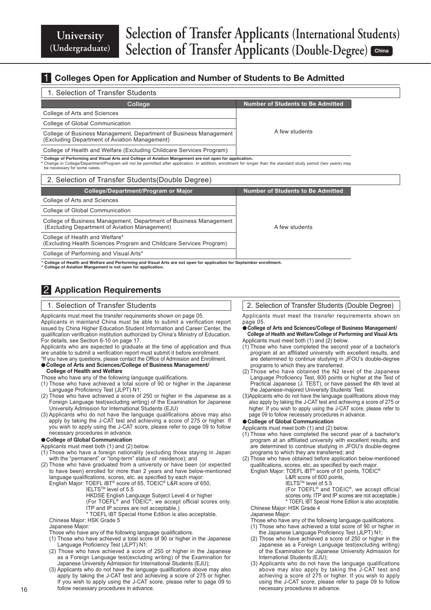### **1** Colleges Open for Application and Number of Students to Be Admitted

#### 1. Selection of Transfer Students

| College                                                                                                                                                                                                                                                                                                                                                           | <b>Number of Students to Be Admitted</b> |  |  |  |  |
|-------------------------------------------------------------------------------------------------------------------------------------------------------------------------------------------------------------------------------------------------------------------------------------------------------------------------------------------------------------------|------------------------------------------|--|--|--|--|
| College of Arts and Sciences                                                                                                                                                                                                                                                                                                                                      |                                          |  |  |  |  |
| College of Global Communication                                                                                                                                                                                                                                                                                                                                   |                                          |  |  |  |  |
| College of Business Management, Department of Business Management<br>(Excluding Department of Aviation Management)                                                                                                                                                                                                                                                | A few students                           |  |  |  |  |
| College of Health and Welfare (Excluding Childcare Services Program)                                                                                                                                                                                                                                                                                              |                                          |  |  |  |  |
| * College of Performing and Visual Arts and College of Aviation Mangement are not open for application.<br>* Change in College/Department/Program will not be permitted after application. In addition, enrollment for longer than the standard study period (two years) may<br>be necessary for some cases.<br>2. Selection of Transfer Students (Double Degree) |                                          |  |  |  |  |
| College/Department/Program or Major                                                                                                                                                                                                                                                                                                                               | <b>Number of Students to Be Admitted</b> |  |  |  |  |
| College of Arts and Sciences                                                                                                                                                                                                                                                                                                                                      |                                          |  |  |  |  |
| College of Global Communication                                                                                                                                                                                                                                                                                                                                   |                                          |  |  |  |  |
| College of Business Management, Department of Business Management<br>(Excluding Department of Aviation Management)                                                                                                                                                                                                                                                | A few students                           |  |  |  |  |
| College of Health and Welfare*<br>(Excluding Health Sciences Program and Childcare Services Program)                                                                                                                                                                                                                                                              |                                          |  |  |  |  |

College of Performing and Visual Arts\*

\* College of Health and Welfare and Performing and Visual Arts are not open for application for September enrollment.

\* College of Aviation Mangement is not open for application.

### 2 Application Requirements

#### 1. Selection of Transfer Students

Applicants must meet the transfer requirements shown on page 05.

Applicants in mainland China must be able to submit a verification report issued by China Higher Education Student Information and Career Center, the qualification verification institution authorized by China's Ministry of Education. For details, see Section 6-10 on page 17.

Applicants who are expected to graduate at the time of application and thus are unable to submit a verification report must submit it before enrollment.

#### \*If you have any questions, please contact the Office of Admission and Enrollment. ●College of Arts and Sciences/College of Business Management/ College of Health and Welfare

- Those who have any of the following language qualifications.
- (1) Those who have achieved a total score of 90 or higher in the Japanese Language Proficiency Test (JLPT) N1;
- (2) Those who have achieved a score of 250 or higher in the Japanese as a Foreign Language test(excluding writing) of the Examination for Japanese University Admission for International Students (EJU)
- (3) Applicants who do not have the language qualifications above may also apply by taking the J-CAT test and achieving a score of 275 or higher. If you wish to apply using the J-CAT score, please refer to page 09 to follow necessary procedures in advance.

#### ●College of Global Communication

Applicants must meet both (1) and (2) below.

- (1) Those who have a foreign nationality (excluding those staying in Japan with the "permanent" or "long-term" status of residence); and
- (2) Those who have graduated from a university or have been (or expected to have been) enrolled for more than 2 years and have below-mentioned language qualifications, scores, etc. as specified by each major:
	- English Major: TOEFL iBT® score of 65, TOEIC® L&R score of 650,

IELTSTM level of 5.5

- HKDSE English Language Subject Level 4 or higher
- (For TOEFL® and TOEIC®, we accept official scores only. ITP and IP scores are not acceptable.)
- \* TOEFL iBT Special Home Edition is also acceptable.

Chinese Major: HSK Grade 5

Japanese Major:

Those who have any of the following language qualifications.

- (1) Those who have achieved a total score of 90 or higher in the Japanese Language Proficiency Test (JLPT) N1;
- (2) Those who have achieved a score of 250 or higher in the Japanese as a Foreign Language test(excluding writing) of the Examination for Japanese University Admission for International Students (EJU);
- (3) Applicants who do not have the language qualifications above may also apply by taking the J-CAT test and achieving a score of 275 or higher. If you wish to apply using the J-CAT score, please refer to page 09 to follow necessary procedures in advance.

#### 2. Selection of Transfer Students (Double Degree)

Applicants must meet the transfer requirements shown on page 05.

- College of Arts and Sciences/College of Business Management/ College of Health and Welfare/College of Performing and Visual Arts Applicants must meet both (1) and (2) below.
- (1) Those who have completed the second year of a bachelor's program at an affiliated university with excellent results, and are determined to continue studying in JFOU's double-degree programs to which they are transferred.
- (2) Those who have obtained the N2 level of the Japanese Language Proficiency Test, 600 points or higher at the Test of Practical Japanese (J. TEST), or have passed the 4th level at the Japanese-majored University Students' Test.
- (3)Applicants who do not have the language qualifications above may also apply by taking the J-CAT test and achieving a score of 275 or higher. If you wish to apply using the J-CAT score, please refer to page 09 to follow necessary procedures in advance.

#### ● College of Global Communication

Applicants must meet both (1) and (2) below.

- (1) Those who have completed the second year of a bachelor's program at an affiliated university with excellent results, and are determined to continue studying in JFOU's double-degree programs to which they are transferred; and
- (2) Those who have obtained before application below-mentioned qualifications, scores, etc. as specified by each major.<br>English Major: TOEFL iBT® score of 61 points, TOEIC®
	- - L&R score of 600 points,
		- IELTSTM level of 5.5
		- (For TOEFL® and TOEIC®, we accept official

scores only. ITP and IP scores are not acceptable.) \* TOEFL iBT Special Home Edition is also acceptable.

Chinese Major: HSK Grade 4

#### Japanese Major:

- Those who have any of the following language qualifications.
- (1) Those who have achieved a total score of 90 or higher in the Japanese Language Proficiency Test (JLPT) N1;
- (2) Those who have achieved a score of 250 or higher in the Japanese as a Foreign Language test(excluding writing) of the Examination for Japanese University Admission for International Students (EJU);
- (3) Applicants who do not have the language qualifications above may also apply by taking the J-CAT test and achieving a score of 275 or higher. If you wish to apply using the J-CAT score, please refer to page 09 to follow necessary procedures in advance.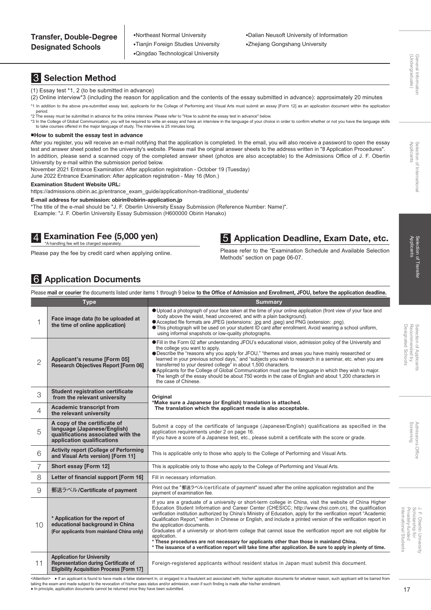●Northeast Normal University ●Tianjin Foreign Studies University ●Qingdao Technological University

#### ●Dalian Neusoft University of Information ●Zhejiang Gongshang University

# General Information<br>(Undergraduate) (Ondergraduate)

General Information

### Screening Admissions Office **Office**

International Student Privately-funded Privately-funded J. F. Oberlin Universit<br>Scholarship for Scholarship for J. F. Oberlin University International Students

### 3 Selection Method

#### (1) Essay test \*1, 2 (to be submitted in advance)

- (2) Online interview\*3 (including the reason for application and the contents of the essay submitted in advance): approximately 20 minutes
- \*1 In addition to the above pre-submitted essay test, applicants for the College of Performing and Visual Arts must submit an essay [Form 12] as an application document within the application period. \*2 The essay must be submitted in advance for the online interview. Please refer to "How to submit the essay test in advance" below.

\*3 In the College of Global Communication, you will be required to write an essay and have an interview in the language of your choice in order to confirm whether or not you have the language skills to take courses offered in the major language of study. The interview is 25 minutes long.

#### ■How to submit the essay test in advance

After you register, you will receive an e-mail notifying that the application is completed. In the email, you will also receive a password to open the essay test and answer sheet posted on the university's website. Please mail the original answer sheets to the address written in "8 Application Procedures". In addition, please send a scanned copy of the completed answer sheet (photos are also acceptable) to the Admissions Office of J. F. Oberlin University by e-mail within the submission period below.

November 2021 Entrance Examination: After application registration - October 19 (Tuesday)

June 2022 Entrance Examination: After application registration - May 16 (Mon.)

#### Examination Student Website URL:

https://admissions.obirin.ac.jp/entrance\_exam\_guide/application/non-traditional\_students/

#### E-mail address for submission: obirin@obirin-application.jp

\*The title of the e-mail should be "J. F. Oberlin University Essay Submission (Reference Number: Name)".

Example: "J. F. Oberlin University Essay Submission (H600000 Obirin Hanako)

### 4. Examination Fee (5,000 yen)<br>A handling fee will be charged separately.

Please pay the fee by credit card when applying online.

### 5 Application Deadline, Exam Date, etc.

Please refer to the "Examination Schedule and Available Selection Methods" section on page 06-07.

### 6 Application Documents

|                |                                                                                                                                      | Please mail or courier the documents listed under items 1 through 9 below to the Office of Admission and Enrollment, JFOU, before the application deadline.                                                                                                                                                                                                                                                                                                                                                                                                                                                                                                                                                                                                                                                                           |
|----------------|--------------------------------------------------------------------------------------------------------------------------------------|---------------------------------------------------------------------------------------------------------------------------------------------------------------------------------------------------------------------------------------------------------------------------------------------------------------------------------------------------------------------------------------------------------------------------------------------------------------------------------------------------------------------------------------------------------------------------------------------------------------------------------------------------------------------------------------------------------------------------------------------------------------------------------------------------------------------------------------|
|                | <b>Type</b>                                                                                                                          | <b>Summary</b>                                                                                                                                                                                                                                                                                                                                                                                                                                                                                                                                                                                                                                                                                                                                                                                                                        |
| 1              | Face image data (to be uploaded at<br>the time of online application)                                                                | ● Upload a photograph of your face taken at the time of your online application (front view of your face and<br>body above the waist, head uncovered, and with a plain background).<br>● Accepted file formats are JPEG (extensions: .jpg and .jpeg) and PNG (extension: .png).<br>● This photograph will be used on your student ID card after enrollment. Avoid wearing a school uniform,<br>using informal snapshots or low-quality photographs.                                                                                                                                                                                                                                                                                                                                                                                   |
| $\overline{2}$ | Applicant's resume [Form 05]<br><b>Research Objectives Report [Form 06]</b>                                                          | • Fill in the Form 02 after understanding JFOU's educational vision, admission policy of the University and<br>the college you want to apply.<br>• Describe the "reasons why you apply for JFOU," "themes and areas you have mainly researched or<br>learned in your previous school days," and "subjects you wish to research in a seminar, etc. when you are<br>transferred to your desired college" in about 1,500 characters.<br>• Applicants for the College of Global Communication must use the language in which they wish to major.<br>The length of the essay should be about 750 words in the case of English and about 1,200 characters in<br>the case of Chinese.                                                                                                                                                        |
| 3              | <b>Student registration certificate</b><br>from the relevant university                                                              | Original<br>*Make sure a Japanese (or English) translation is attached.                                                                                                                                                                                                                                                                                                                                                                                                                                                                                                                                                                                                                                                                                                                                                               |
| 4              | <b>Academic transcript from</b><br>the relevant university                                                                           | The translation which the applicant made is also acceptable.                                                                                                                                                                                                                                                                                                                                                                                                                                                                                                                                                                                                                                                                                                                                                                          |
| 5              | A copy of the certificate of<br>language (Japanese/English)<br>qualifications associated with the<br>application qualifications      | Submit a copy of the certificate of language (Japanese/English) qualifications as specified in the<br>application requirements under 2 on page 16.<br>If you have a score of a Japanese test, etc., please submit a certificate with the score or grade.                                                                                                                                                                                                                                                                                                                                                                                                                                                                                                                                                                              |
| 6              | <b>Activity report (College of Performing</b><br>and Visual Arts version) [Form 11]                                                  | This is applicable only to those who apply to the College of Performing and Visual Arts.                                                                                                                                                                                                                                                                                                                                                                                                                                                                                                                                                                                                                                                                                                                                              |
| $\overline{7}$ | Short essay [Form 12]                                                                                                                | This is applicable only to those who apply to the College of Performing and Visual Arts.                                                                                                                                                                                                                                                                                                                                                                                                                                                                                                                                                                                                                                                                                                                                              |
| 8              | Letter of financial support [Form 16]                                                                                                | Fill in necessary information.                                                                                                                                                                                                                                                                                                                                                                                                                                                                                                                                                                                                                                                                                                                                                                                                        |
| 9              | 郵送ラベル/Certificate of payment                                                                                                         | Print out the "郵送ラベル/certificate of payment" issued after the online application registration and the<br>payment of examination fee.                                                                                                                                                                                                                                                                                                                                                                                                                                                                                                                                                                                                                                                                                                  |
| 10             | * Application for the report of<br>educational background in China<br>(For applicants from mainland China only)                      | If you are a graduate of a university or short-term college in China, visit the website of China Higher<br>Education Student Information and Career Center (CHESICC; http://www.chsi.com.cn), the qualification<br>verification institution authorized by China's Ministry of Education, apply for the verification report "Academic<br>Qualification Report," written in Chinese or English, and include a printed version of the verification report in<br>the application documents.<br>Graduates of a university or short-term college that cannot issue the verification report are not eligible for<br>application.<br>* These procedures are not necessary for applicants other than those in mainland China.<br>* The issuance of a verification report will take time after application. Be sure to apply in plenty of time. |
| 11             | <b>Application for University</b><br><b>Representation during Certificate of</b><br><b>Eligibility Acquisition Process [Form 17]</b> | Foreign-registered applicants without resident status in Japan must submit this document.                                                                                                                                                                                                                                                                                                                                                                                                                                                                                                                                                                                                                                                                                                                                             |

<Attention> ● If an applicant is found to have made a false statement in, or engaged in a fraudulent act associated with, his/her application documents for whatever reason, such applicant will be barred from<br>taking the ex

• In principle, application documents cannot be returned once they have been submitted.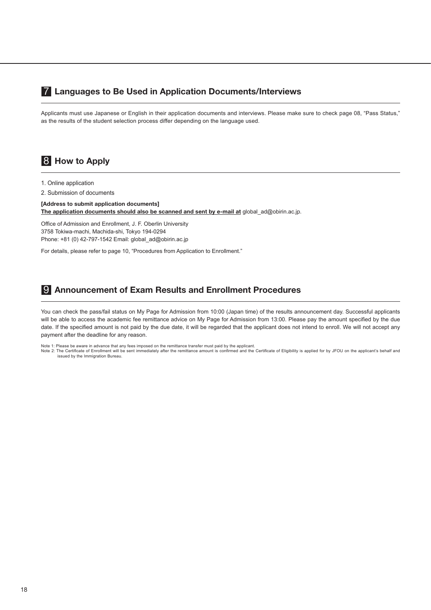### 7 Languages to Be Used in Application Documents/Interviews

Applicants must use Japanese or English in their application documents and interviews. Please make sure to check page 08, "Pass Status," as the results of the student selection process differ depending on the language used.

### 8 How to Apply

- 1. Online application
- 2. Submission of documents

[Address to submit application documents] The application documents should also be scanned and sent by e-mail at global\_ad@obirin.ac.jp.

Office of Admission and Enrollment, J. F. Oberlin University 3758 Tokiwa-machi, Machida-shi, Tokyo 194-0294 Phone: +81 (0) 42-797-1542 Email: global\_ad@obirin.ac.jp

For details, please refer to page 10, "Procedures from Application to Enrollment."

#### 9 Announcement of Exam Results and Enrollment Procedures

You can check the pass/fail status on My Page for Admission from 10:00 (Japan time) of the results announcement day. Successful applicants will be able to access the academic fee remittance advice on My Page for Admission from 13:00. Please pay the amount specified by the due date. If the specified amount is not paid by the due date, it will be regarded that the applicant does not intend to enroll. We will not accept any payment after the deadline for any reason.

Note 1: Please be aware in advance that any fees imposed on the remittance transfer must paid by the applicant.

Note 2: The Certificate of Enrollment will be sent immediately after the remittance amount is confirmed and the Certificate of Eligibility is applied for by JFOU on the applicant's behalf and<br>issued by the Immigration Bure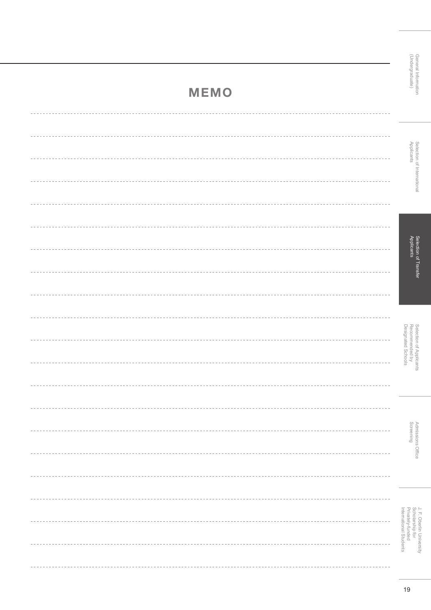General Information<br>(Undergraduate) (Ondergraduate) General Information

# Selection of International<br>Applicants Selection of International

Selection of Transfer<br>Applicants Selection of Transfer

Selection of Applicants<br>Recommended by<br>Designated Schools Selection of Applicants Designated Schools Recommended by

> Admissions Office<br>Screening Admissions Office

J. F. Oberlin University<br>Scholarship for<br>Privately-funded Privately-funded Scholarship for J. F. Oberlin University

# MEMO

| Applicants                                 |
|--------------------------------------------|
|                                            |
|                                            |
|                                            |
| suueoudd <sub>r</sub>                      |
|                                            |
|                                            |
|                                            |
| Recommended by<br>Designated Schools       |
|                                            |
|                                            |
|                                            |
| Screening                                  |
|                                            |
|                                            |
|                                            |
| Privately-funded<br>International Students |
|                                            |
|                                            |
| 19                                         |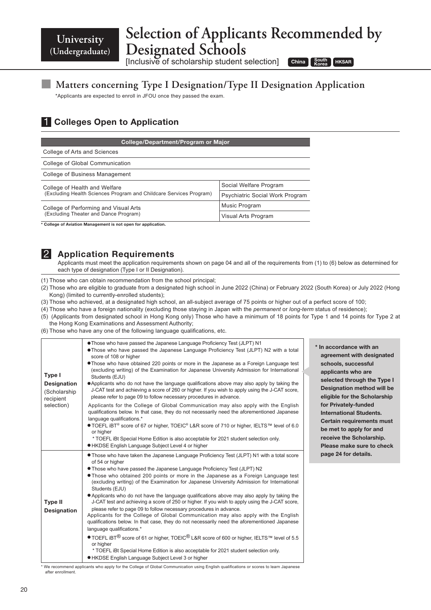**University (Undergraduate)**

## **Selection of Applicants Recommended by Designated Schools**

[Inclusive of scholarship student selection]

China Korea HKSAR

### **■ Matters concerning Type I Designation/Type II Designation Application**

\*Applicants are expected to enroll in JFOU once they passed the exam.

### **1 Colleges Open to Application**

| College/Department/Program or Major                                |                                 |  |  |  |  |
|--------------------------------------------------------------------|---------------------------------|--|--|--|--|
| College of Arts and Sciences                                       |                                 |  |  |  |  |
| College of Global Communication                                    |                                 |  |  |  |  |
| College of Business Management                                     |                                 |  |  |  |  |
| College of Health and Welfare                                      | Social Welfare Program          |  |  |  |  |
| (Excluding Health Sciences Program and Childcare Services Program) | Psychiatric Social Work Program |  |  |  |  |
| College of Performing and Visual Arts                              | Music Program                   |  |  |  |  |
| (Excluding Theater and Dance Program)                              | Visual Arts Program             |  |  |  |  |

\* College of Aviation Management is not open for application.

#### **2** Application Requirements

Applicants must meet the application requirements shown on page 04 and all of the requirements from (1) to (6) below as determined for each type of designation (Type I or II Designation).

(1) Those who can obtain recommendation from the school principal;

- (2) Those who are eligible to graduate from a designated high school in June 2022 (China) or February 2022 (South Korea) or July 2022 (Hong Kong) (limited to currently-enrolled students);
- (3) Those who achieved, at a designated high school, an all-subject average of 75 points or higher out of a perfect score of 100;
- (4) Those who have a foreign nationality (excluding those staying in Japan with the *permanent* or *long-term* status of residence);
- (5) (Applicants from designated school in Hong Kong only) Those who have a minimum of 18 points for Type 1 and 14 points for Type 2 at the Hong Kong Examinations and Assessment Authority;
- (6) Those who have any one of the following language qualifications, etc.

| Type I<br><b>Designation</b><br>(Scholarship)<br>recipient<br>selection) | . Those who have passed the Japanese Language Proficiency Test (JLPT) N1<br>. Those who have passed the Japanese Language Proficiency Test (JLPT) N2 with a total<br>score of 108 or higher<br>• Those who have obtained 220 points or more in the Japanese as a Foreign Language test<br>(excluding writing) of the Examination for Japanese University Admission for International<br>Students (EJU)<br>• Applicants who do not have the language qualifications above may also apply by taking the<br>J-CAT test and achieving a score of 260 or higher. If you wish to apply using the J-CAT score,<br>please refer to page 09 to follow necessary procedures in advance.<br>Applicants for the College of Global Communication may also apply with the English<br>qualifications below. In that case, they do not necessarily need the aforementioned Japanese<br>language qualifications.*<br>● TOEFL iBT <sup>®</sup> score of 67 or higher, TOEIC <sup>®</sup> L&R score of 710 or higher, IELTS™ level of 6.0<br>or higher<br>* TOEFL iBt Special Home Edition is also acceptable for 2021 student selection only.<br>● HKDSE English Language Subject Level 4 or higher         | $*$ In |
|--------------------------------------------------------------------------|-------------------------------------------------------------------------------------------------------------------------------------------------------------------------------------------------------------------------------------------------------------------------------------------------------------------------------------------------------------------------------------------------------------------------------------------------------------------------------------------------------------------------------------------------------------------------------------------------------------------------------------------------------------------------------------------------------------------------------------------------------------------------------------------------------------------------------------------------------------------------------------------------------------------------------------------------------------------------------------------------------------------------------------------------------------------------------------------------------------------------------------------------------------------------------------------|--------|
| <b>Type II</b><br><b>Designation</b>                                     | • Those who have taken the Japanese Language Proficiency Test (JLPT) N1 with a total score<br>of 54 or higher<br>• Those who have passed the Japanese Language Proficiency Test (JLPT) N2<br>. Those who obtained 200 points or more in the Japanese as a Foreign Language test<br>(excluding writing) of the Examination for Japanese University Admission for International<br>Students (EJU)<br>• Applicants who do not have the language qualifications above may also apply by taking the<br>J-CAT test and achieving a score of 250 or higher. If you wish to apply using the J-CAT score,<br>please refer to page 09 to follow necessary procedures in advance.<br>Applicants for the College of Global Communication may also apply with the English<br>qualifications below. In that case, they do not necessarily need the aforementioned Japanese<br>language qualifications.*<br>$\bullet$ TOEFL iBT <sup>®</sup> score of 61 or higher, TOEIC <sup>®</sup> L&R score of 600 or higher, IELTS™ level of 5.5<br>or higher<br>* TOEFL IBt Special Home Edition is also acceptable for 2021 student selection only.<br><b>. HKDSE English Language Subject Level 3 or higher</b> |        |

accordance with an greement with designated chools, successful pplicants who are elected through the Type I esignation method will be ligible for the Scholarship or Privately-funded **International Students.** ertain requirements must be met to apply for and eceive the Scholarship. **lease make sure to check** age 24 for details.

\* We recommend applicants who apply for the College of Global Communication using English qualifications or scores to learn Japanese after enrollment.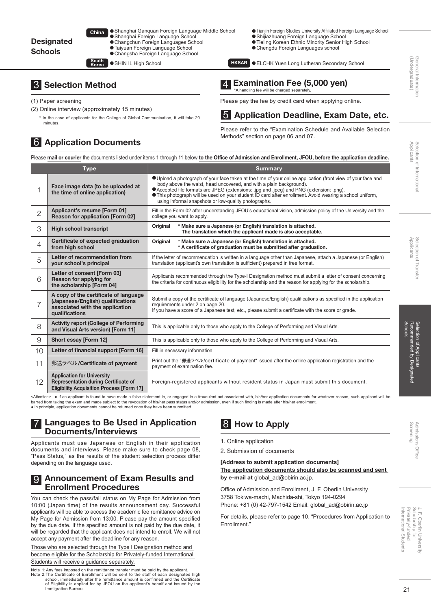| ٦a | ● Shanghai Ganguan Foreign Language Middle School |  |
|----|---------------------------------------------------|--|
|    | ● Shanghai Foreign Language School                |  |
|    | ● Changchun Foreign Languages School              |  |
|    | ● Taiyuan Foreign Language School                 |  |
|    | ● Changsha Foreign Language School                |  |
|    |                                                   |  |

- South SHIN IL High School **Access of South Access** KKSAR
- 3 Selection Method
- (1) Paper screening
- (2) Online interview (approximately 15 minutes)

Chi

In the case of applicants for the College of Global Communication, it will take 20 minutes.

### 6 Application Documents

●Tianjin Foreign Studies University Affiliated Foreign Language School ● Shijiazhuang Foreign Language School ●Tieling Korean Ethnic Minority Senior High School ●Chengdu Foreign Languages school

**HKSAR OELCHK Yuen Long Lutheran Secondary School** 

# 4 Examination Fee (5,000 yen)<br>A handling fee will be charged separately.

Please pay the fee by credit card when applying online.

### 5 Application Deadline, Exam Date, etc.

Please refer to the "Examination Schedule and Available Selection Methods" section on page 06 and 07.

Applicants

(Andergraduate) General Information

(Undergraduate General Informatio

Selection of International

Selection of Internationa

Screening Admissions Office **Office** 

Privately-funded Privately-funded J. F. Oberlin University<br>Scholarship for Scholarship for J. F. Oberlin University International Student International Students

|                | <b>Type</b>                                                                                                                          | <b>Summary</b>                                                                                                                                                                                                                                                                                                                                                                                                                                           |
|----------------|--------------------------------------------------------------------------------------------------------------------------------------|----------------------------------------------------------------------------------------------------------------------------------------------------------------------------------------------------------------------------------------------------------------------------------------------------------------------------------------------------------------------------------------------------------------------------------------------------------|
|                | Face image data (to be uploaded at<br>the time of online application)                                                                | O Upload a photograph of your face taken at the time of your online application (front view of your face and<br>body above the waist, head uncovered, and with a plain background).<br>● Accepted file formats are JPEG (extensions: .jpg and .jpeg) and PNG (extension: .png).<br><b>This photograph will be used on your student ID card after enrollment. Avoid wearing a school uniform,</b><br>using informal snapshots or low-quality photographs. |
| $\overline{2}$ | Applicant's resume [Form 01]<br><b>Reason for application [Form 02]</b>                                                              | Fill in the Form 02 after understanding JFOU's educational vision, admission policy of the University and the<br>college you want to apply.                                                                                                                                                                                                                                                                                                              |
| 3              | <b>High school transcript</b>                                                                                                        | * Make sure a Japanese (or English) translation is attached.<br>Original<br>The translation which the applicant made is also acceptable.                                                                                                                                                                                                                                                                                                                 |
| 4              | Certificate of expected graduation<br>from high school                                                                               | * Make sure a Japanese (or English) translation is attached.<br>Original<br>* A certificate of graduation must be submitted after graduation.                                                                                                                                                                                                                                                                                                            |
| 5              | Letter of recommendation from<br>your school's principal                                                                             | If the letter of recommendation is written in a language other than Japanese, attach a Japanese (or English)<br>translation (applicant's own translation is sufficient) prepared in free format.                                                                                                                                                                                                                                                         |
| 6              | Letter of consent [Form 03]<br>Reason for applying for<br>the scholarship [Form 04]                                                  | Applicants recommended through the Type-I Designation method must submit a letter of consent concerning<br>the criteria for continuous eligibility for the scholarship and the reason for applying for the scholarship.                                                                                                                                                                                                                                  |
| 7              | A copy of the certificate of language<br>(Japanese/English) qualifications<br>associated with the application<br>qualifications      | Submit a copy of the certificate of language (Japanese/English) qualifications as specified in the application<br>requirements under 2 on page 20.<br>If you have a score of a Japanese test, etc., please submit a certificate with the score or grade.                                                                                                                                                                                                 |
| 8              | <b>Activity report (College of Performing</b><br>and Visual Arts version) [Form 11]                                                  | This is applicable only to those who apply to the College of Performing and Visual Arts.                                                                                                                                                                                                                                                                                                                                                                 |
| $\overline{9}$ | Short essay [Form 12]                                                                                                                | This is applicable only to those who apply to the College of Performing and Visual Arts.                                                                                                                                                                                                                                                                                                                                                                 |
| 10             | Letter of financial support [Form 16]                                                                                                | Fill in necessary information.                                                                                                                                                                                                                                                                                                                                                                                                                           |
| 11             | 郵送ラベル/Certificate of payment                                                                                                         | Print out the "郵送ラベル/certificate of payment" issued after the online application registration and the<br>payment of examination fee.                                                                                                                                                                                                                                                                                                                     |
| 12             | <b>Application for University</b><br><b>Representation during Certificate of</b><br><b>Eligibility Acquisition Process [Form 17]</b> | Foreign-registered applicants without resident status in Japan must submit this document.                                                                                                                                                                                                                                                                                                                                                                |

#### **Languages to Be Used in Application** Documents/Interviews

Applicants must use Japanese or English in their application documents and interviews. Please make sure to check page 08, "Pass Status," as the results of the student selection process differ depending on the language used.

#### **9 Announcement of Exam Results and** Enrollment Procedures

You can check the pass/fail status on My Page for Admission from 10:00 (Japan time) of the results announcement day. Successful applicants will be able to access the academic fee remittance advice on My Page for Admission from 13:00. Please pay the amount specified by the due date. If the specified amount is not paid by the due date, it will be regarded that the applicant does not intend to enroll. We will not accept any payment after the deadline for any reason.

Those who are selected through the Type I Designation method and become eligible for the Scholarship for Privately-funded International Students will receive a guidance separately.

Note 1: Any fees imposed on the remittance transfer must be paid by the applicant. Note 2:The Certificate of Enrollment will be sent to the staff of each designated high<br>school, immediately after the remittance amount is confirmed and the Certificate<br>of Eligibility is applied for by JFOU on the applicant Immigration Bureau.

### 8 How to Apply

- 1. Online application
- 2. Submission of documents

### [Address to submit application documents]

The application documents should also be scanned and sent by e-mail at global\_ad@obirin.ac.jp.

Office of Admission and Enrollment, J. F. Oberlin University 3758 Tokiwa-machi, Machida-shi, Tokyo 194-0294 Phone: +81 (0) 42-797-1542 Email: global\_ad@obirin.ac.jp

For details, please refer to page 10, "Procedures from Application to Enrollment."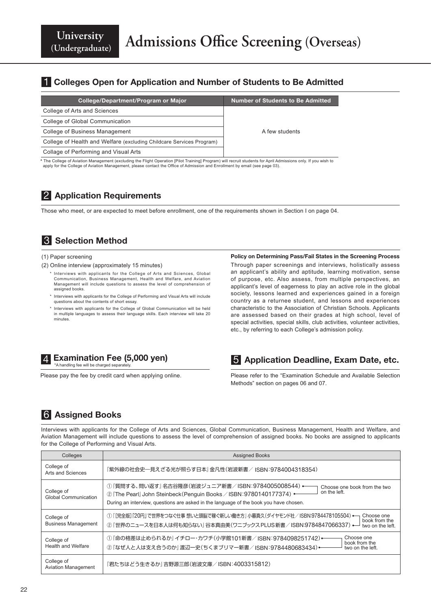### **1 Colleges Open for Application and Number of Students to Be Admitted**

| College/Department/Program or Major                                                                                                                            | <b>Number of Students to Be Admitted</b> |  |  |  |
|----------------------------------------------------------------------------------------------------------------------------------------------------------------|------------------------------------------|--|--|--|
| College of Arts and Sciences                                                                                                                                   |                                          |  |  |  |
| College of Global Communication                                                                                                                                |                                          |  |  |  |
| College of Business Management                                                                                                                                 | A few students                           |  |  |  |
| College of Health and Welfare (excluding Childcare Services Program)                                                                                           |                                          |  |  |  |
| Collage of Performing and Visual Arts                                                                                                                          |                                          |  |  |  |
| * The College of Aviation Management (excluding the Flight Operation [Pilot Training] Program) will recruit students for April Admissions only. If you wish to |                                          |  |  |  |

\* The College of Aviation Management (excluding the Flight Operation [Pilot Training] Program) will recruit students for April Admissions only. If you wish to<br>apply for the College of Aviation Management, please contact th

### 2 Application Requirements

Those who meet, or are expected to meet before enrollment, one of the requirements shown in Section I on page 04.

### **3** Selection Method

#### (1) Paper screening

- (2) Online interview (approximately 15 minutes)
	- \* Interviews with applicants for the College of Arts and Sciences, Global Communication, Business Management, Health and Welfare, and Aviation Management will include questions to assess the level of comprehension of assigned books.
	- \* Interviews with applicants for the College of Performing and Visual Arts will include questions about the contents of short essay.
	- \* Interviews with applicants for the College of Global Communication will be held in multiple languages to assess their language skills. Each interview will take 20 minutes.

#### Policy on Determining Pass/Fail States in the Screening Process Through paper screenings and interviews, holistically assess an applicant's ability and aptitude, learning motivation, sense of purpose, etc. Also assess, from multiple perspectives, an applicant's level of eagerness to play an active role in the global society, lessons learned and experiences gained in a foreign country as a returnee student, and lessons and experiences characteristic to the Association of Christian Schools. Applicants are assessed based on their grades at high school, level of special activities, special skills, club activities, volunteer activities,



Please pay the fee by credit card when applying online.

5 Application Deadline, Exam Date, etc.

etc., by referring to each College's admission policy.

Please refer to the "Examination Schedule and Available Selection Methods" section on pages 06 and 07.

### 6 Assigned Books

Interviews with applicants for the College of Arts and Sciences, Global Communication, Business Management, Health and Welfare, and Aviation Management will include questions to assess the level of comprehension of assigned books. No books are assigned to applicants for the College of Performing and Visual Arts.

| Colleges                                 | <b>Assigned Books</b>                                                                                                                                                                                                                                              |
|------------------------------------------|--------------------------------------------------------------------------------------------------------------------------------------------------------------------------------------------------------------------------------------------------------------------|
| College of<br>Arts and Sciences          | 『紫外線の社会史―見えざる光が照らす日本』金凡性(岩波新書/ ISBN:9784004318354)                                                                                                                                                                                                                 |
| College of<br>Global Communication       | ① 『質問する、問い返す』 名古谷隆彦(岩波ジュニア新書/ ISBN:9784005008544) •<br>Choose one book from the two<br>on the left.<br>2 The Pearl John Steinbeck (Penguin Books / ISBN: 9780140177374) •<br>During an interview, questions are asked in the language of the book you have chosen. |
| College of<br><b>Business Management</b> | ① 『[完全版]「20円」で世界をつなぐ仕事 想いと頭脳で稼ぐ新しい働き方』小暮真久(ダイヤモンド社/ISBN:9784478105504) ←<br>Choose one<br>book from the<br>② 『世界のニュースを日本人は何も知らない』 谷本真由美(ワニブックス PLUS 新書/ ISBN:9784847066337) •—<br>two on the left.                                                                 |
| College of<br><b>Health and Welfare</b>  | Choose one<br>① 『命の格差は止められるか』イチロー・カワチ(小学館101新書/ISBN:9784098251742)←<br>book from the<br>2『なぜ人と人は支え合うのか』渡辺一史(ちくまブリマー新書/ISBN:9784480683434)+<br>two on the left.                                                                                                     |
| College of<br><b>Aviation Management</b> | 『君たちはどう生きるか』吉野源三郎(岩波文庫/ISBN:4003315812)                                                                                                                                                                                                                            |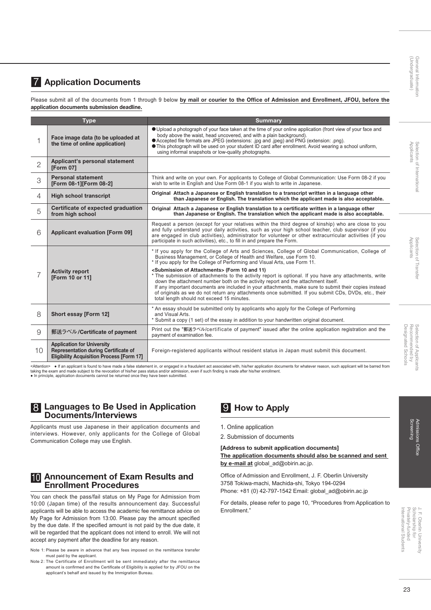# Applicants Selection of Internationa Selection of International

# Admissions Office<br>Screening Admissions Office

### **7 Application Documents**

Please submit all of the documents from 1 through 9 below by mail or courier to the Office of Admission and Enrollment, JFOU, before the application documents submission deadline.

| <b>Type</b>    |                                                                                                                                      | <b>Summary</b>                                                                                                                                                                                                                                                                                                                                                                                                                                                                                                                      |  |  |  |  |
|----------------|--------------------------------------------------------------------------------------------------------------------------------------|-------------------------------------------------------------------------------------------------------------------------------------------------------------------------------------------------------------------------------------------------------------------------------------------------------------------------------------------------------------------------------------------------------------------------------------------------------------------------------------------------------------------------------------|--|--|--|--|
|                | Face image data (to be uploaded at<br>the time of online application)                                                                | Oupload a photograph of your face taken at the time of your online application (front view of your face and<br>body above the waist, head uncovered, and with a plain background).<br>• Accepted file formats are JPEG (extensions: .jpg and .jpeg) and PNG (extension: .png).<br>• This photograph will be used on your student ID card after enrollment. Avoid wearing a school uniform,<br>using informal snapshots or low-quality photographs.                                                                                  |  |  |  |  |
| $\overline{2}$ | Applicant's personal statement<br><b>[Form 07]</b>                                                                                   |                                                                                                                                                                                                                                                                                                                                                                                                                                                                                                                                     |  |  |  |  |
| 3              | <b>Personal statement</b><br>[Form 08-1][Form 08-2]                                                                                  | Think and write on your own. For applicants to College of Global Communication: Use Form 08-2 if you<br>wish to write in English and Use Form 08-1 if you wish to write in Japanese.                                                                                                                                                                                                                                                                                                                                                |  |  |  |  |
| 4              | <b>High school transcript</b>                                                                                                        | Original Attach a Japanese or English translation to a transcript written in a language other<br>than Japanese or English. The translation which the applicant made is also acceptable.                                                                                                                                                                                                                                                                                                                                             |  |  |  |  |
| 5              | Certificate of expected graduation<br>from high school                                                                               | Original Attach a Japanese or English translation to a certificate written in a language other<br>than Japanese or English. The translation which the applicant made is also acceptable.                                                                                                                                                                                                                                                                                                                                            |  |  |  |  |
| 6              | <b>Applicant evaluation [Form 09]</b>                                                                                                | Request a person (except for your relatives within the third degree of kinship) who are close to you<br>and fully understand your daily activities, such as your high school teacher, club supervisor (if you<br>are engaged in club activities), administrator for volunteer or other extracurricular activities (if you<br>participate in such activities), etc., to fill in and prepare the Form.                                                                                                                                |  |  |  |  |
|                |                                                                                                                                      | * If you apply for the College of Arts and Sciences, College of Global Communication, College of<br>Business Management, or College of Health and Welfare, use Form 10.<br>* If you apply for the College of Performing and Visual Arts, use Form 11.                                                                                                                                                                                                                                                                               |  |  |  |  |
| 7              | <b>Activity report</b><br>[Form 10 or 11]                                                                                            | <submission attachments="" of=""> (Form 10 and 11)<br/>* The submission of attachments to the activity report is optional. If you have any attachments, write<br/>down the attachment number both on the activity report and the attachment itself.<br/>If any important documents are included in your attachments, make sure to submit their copies instead<br/>of originals as we do not return any attachments once submitted. If you submit CDs, DVDs, etc., their<br/>total length should not exceed 15 minutes.</submission> |  |  |  |  |
| 8              | Short essay [Form 12]                                                                                                                | * An essay should be submitted only by applicants who apply for the College of Performing<br>and Visual Arts.<br>* Submit a copy (1 set) of the essay in addition to your handwritten original document.                                                                                                                                                                                                                                                                                                                            |  |  |  |  |
| 9              | 郵送ラベル/Certificate of payment                                                                                                         | Print out the "郵送ラベル/certificate of payment" issued after the online application registration and the<br>payment of examination fee.                                                                                                                                                                                                                                                                                                                                                                                                |  |  |  |  |
| 10             | <b>Application for University</b><br><b>Representation during Certificate of</b><br><b>Eligibility Acquisition Process [Form 17]</b> | Foreign-registered applicants without resident status in Japan must submit this document.                                                                                                                                                                                                                                                                                                                                                                                                                                           |  |  |  |  |

<Attention> ● If an applicant is found to have made a false statement in, or engaged in a fraudulent act associated with, his/her application documents for whatever reason, such applicant will be barred from taking the exam and made subject to the revocation of his/her pass status and/or admission, even if such finding is made after his/her enrollment.<br>● In principle, application documents cannot be returned once they have be

#### 8 Languages to Be Used in Application Documents/Interviews

Applicants must use Japanese in their application documents and interviews. However, only applicants for the College of Global Communication College may use English.

#### 10 Announcement of Exam Results and Enrollment Procedures

You can check the pass/fail status on My Page for Admission from 10:00 (Japan time) of the results announcement day. Successful applicants will be able to access the academic fee remittance advice on My Page for Admission from 13:00. Please pay the amount specified by the due date. If the specified amount is not paid by the due date, it will be regarded that the applicant does not intend to enroll. We will not accept any payment after the deadline for any reason.

- Note 1: Please be aware in advance that any fees imposed on the remittance transfer must paid by the applicant.
- Note 2: The Certificate of Enrollment will be sent immediately after the remittance amount is confirmed and the Certificate of Eligibility is applied for by JFOU on the applicant's behalf and issued by the Immigration Bureau.

### 9 How to Apply

- 1. Online application
- 2. Submission of documents

#### [Address to submit application documents] The application documents should also be scanned and sent by e-mail at global\_ad@obirin.ac.jp.

Office of Admission and Enrollment, J. F. Oberlin University 3758 Tokiwa-machi, Machida-shi, Tokyo 194-0294 Phone: +81 (0) 42-797-1542 Email: global\_ad@obirin.ac.jp

For details, please refer to page 10, "Procedures from Application to Enrollment."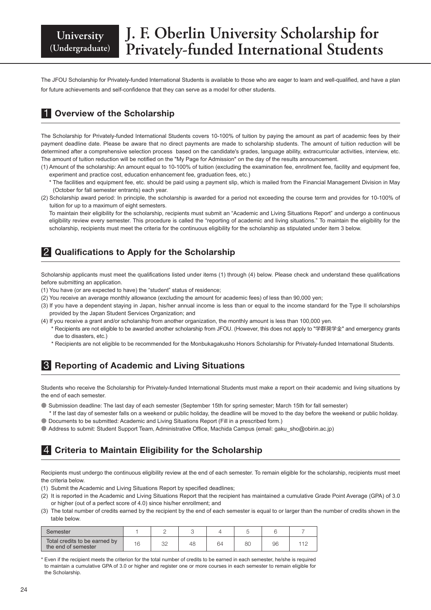## **J. F. Oberlin University Scholarship for Privately-funded International Students**

The JFOU Scholarship for Privately-funded International Students is available to those who are eager to learn and well-qualified, and have a plan for future achievements and self-confidence that they can serve as a model for other students.

### **1** Overview of the Scholarship

The Scholarship for Privately-funded International Students covers 10-100% of tuition by paying the amount as part of academic fees by their payment deadline date. Please be aware that no direct payments are made to scholarship students. The amount of tuition reduction will be determined after a comprehensive selection process based on the candidate's grades, language ability, extracurricular activities, interview, etc. The amount of tuition reduction will be notified on the "My Page for Admission" on the day of the results announcement.

- (1) Amount of the scholarship: An amount equal to 10-100% of tuition (excluding the examination fee, enrollment fee, facility and equipment fee, experiment and practice cost, education enhancement fee, graduation fees, etc.)
	- \* The facilities and equipment fee, etc. should be paid using a payment slip, which is mailed from the Financial Management Division in May (October for fall semester entrants) each year.
- (2) Scholarship award period: In principle, the scholarship is awarded for a period not exceeding the course term and provides for 10-100% of tuition for up to a maximum of eight semesters.

To maintain their eligibility for the scholarship, recipients must submit an "Academic and Living Situations Report" and undergo a continuous eligibility review every semester. This procedure is called the "reporting of academic and living situations." To maintain the eligibility for the scholarship, recipients must meet the criteria for the continuous eligibility for the scholarship as stipulated under item 3 below.

### 2 Qualifications to Apply for the Scholarship

Scholarship applicants must meet the qualifications listed under items (1) through (4) below. Please check and understand these qualifications before submitting an application.

- (1) You have (or are expected to have) the "student" status of residence;
- (2) You receive an average monthly allowance (excluding the amount for academic fees) of less than 90,000 yen;
- (3) If you have a dependent staying in Japan, his/her annual income is less than or equal to the income standard for the Type II scholarships provided by the Japan Student Services Organization; and
- (4) If you receive a grant and/or scholarship from another organization, the monthly amount is less than 100,000 yen.
	- \* Recipients are not eligible to be awarded another scholarship from JFOU. (However, this does not apply to "学群奨学金" and emergency grants due to disasters, etc.)
	- \* Recipients are not eligible to be recommended for the Monbukagakusho Honors Scholarship for Privately-funded International Students.

### **8** Reporting of Academic and Living Situations

Students who receive the Scholarship for Privately-funded International Students must make a report on their academic and living situations by the end of each semester.

- Submission deadline: The last day of each semester (September 15th for spring semester; March 15th for fall semester)
- \* If the last day of semester falls on a weekend or public holiday, the deadline will be moved to the day before the weekend or public holiday. ● Documents to be submitted: Academic and Living Situations Report (Fill in a prescribed form.)
- Address to submit: Student Support Team, Administrative Office, Machida Campus (email: gaku\_sho@obirin.ac.jp)

### 4 Criteria to Maintain Eligibility for the Scholarship

Recipients must undergo the continuous eligibility review at the end of each semester. To remain eligible for the scholarship, recipients must meet the criteria below.

- (1) Submit the Academic and Living Situations Report by specified deadlines;
- (2) It is reported in the Academic and Living Situations Report that the recipient has maintained a cumulative Grade Point Average (GPA) of 3.0 or higher (out of a perfect score of 4.0) since his/her enrollment; and
- (3) The total number of credits earned by the recipient by the end of each semester is equal to or larger than the number of credits shown in the table below.

| Semester                                             |    |           |    |    |          |    |  |
|------------------------------------------------------|----|-----------|----|----|----------|----|--|
| Total credits to be earned by<br>the end of semester | 16 | חר<br>ے ب | 48 | 64 | or<br>ÖU | 96 |  |

\* Even if the recipient meets the criterion for the total number of credits to be earned in each semester, he/she is required to maintain a cumulative GPA of 3.0 or higher and register one or more courses in each semester to remain eligible for the Scholarship.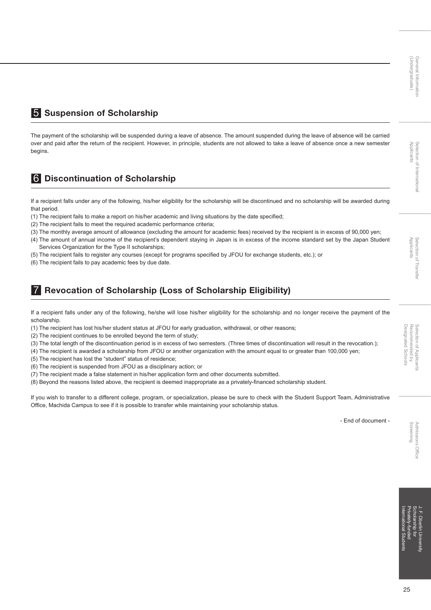### 5 Suspension of Scholarship

The payment of the scholarship will be suspended during a leave of absence. The amount suspended during the leave of absence will be carried over and paid after the return of the recipient. However, in principle, students are not allowed to take a leave of absence once a new semester begins.

### 6 Discontinuation of Scholarship

If a recipient falls under any of the following, his/her eligibility for the scholarship will be discontinued and no scholarship will be awarded during that period.

- (1) The recipient fails to make a report on his/her academic and living situations by the date specified;
- (2) The recipient fails to meet the required academic performance criteria;
- (3) The monthly average amount of allowance (excluding the amount for academic fees) received by the recipient is in excess of 90,000 yen;
- (4) The amount of annual income of the recipient's dependent staying in Japan is in excess of the income standard set by the Japan Student Services Organization for the Type II scholarships;
- (5) The recipient fails to register any courses (except for programs specified by JFOU for exchange students, etc.); or
- (6) The recipient fails to pay academic fees by due date.

### 7 Revocation of Scholarship (Loss of Scholarship Eligibility)

If a recipient falls under any of the following, he/she will lose his/her eligibility for the scholarship and no longer receive the payment of the scholarship.

(1) The recipient has lost his/her student status at JFOU for early graduation, withdrawal, or other reasons;

(2) The recipient continues to be enrolled beyond the term of study;

(3) The total length of the discontinuation period is in excess of two semesters. (Three times of discontinuation will result in the revocation.);

(4) The recipient is awarded a scholarship from JFOU or another organization with the amount equal to or greater than 100,000 yen;

(5) The recipient has lost the "student" status of residence;

(6) The recipient is suspended from JFOU as a disciplinary action; or

- (7) The recipient made a false statement in his/her application form and other documents submitted.
- (8) Beyond the reasons listed above, the recipient is deemed inappropriate as a privately-financed scholarship student.

If you wish to transfer to a different college, program, or specialization, please be sure to check with the Student Support Team, Administrative Office, Machida Campus to see if it is possible to transfer while maintaining your scholarship status.

- End of document -

Privately-funded Scholarship for J. F. Oberlin University International Students ional Stuc